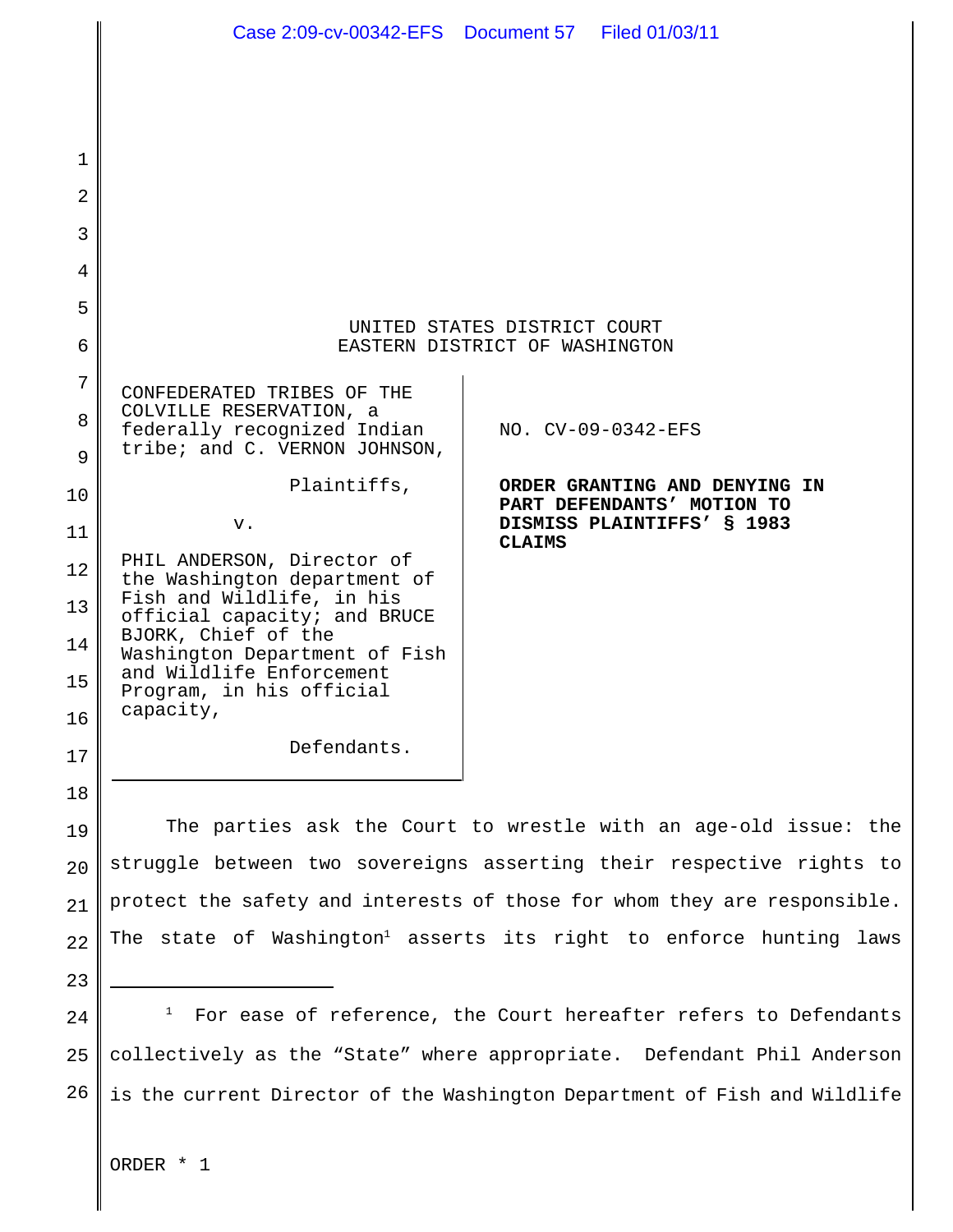|          | Case 2:09-cv-00342-EFS  Document 57  Filed 01/03/11                                                                                              |                                                                                                                                                     |  |  |
|----------|--------------------------------------------------------------------------------------------------------------------------------------------------|-----------------------------------------------------------------------------------------------------------------------------------------------------|--|--|
|          |                                                                                                                                                  |                                                                                                                                                     |  |  |
|          |                                                                                                                                                  |                                                                                                                                                     |  |  |
| 1        |                                                                                                                                                  |                                                                                                                                                     |  |  |
| 2        |                                                                                                                                                  |                                                                                                                                                     |  |  |
| 3        |                                                                                                                                                  |                                                                                                                                                     |  |  |
| 4        |                                                                                                                                                  |                                                                                                                                                     |  |  |
| 5        |                                                                                                                                                  |                                                                                                                                                     |  |  |
| 6        | UNITED STATES DISTRICT COURT<br>EASTERN DISTRICT OF WASHINGTON                                                                                   |                                                                                                                                                     |  |  |
| 7        | CONFEDERATED TRIBES OF THE                                                                                                                       |                                                                                                                                                     |  |  |
| 8        | COLVILLE RESERVATION, a<br>federally recognized Indian                                                                                           | NO. CV-09-0342-EFS                                                                                                                                  |  |  |
| 9        | tribe; and C. VERNON JOHNSON,                                                                                                                    |                                                                                                                                                     |  |  |
| 10       | Plaintiffs,                                                                                                                                      | ORDER GRANTING AND DENYING IN<br>PART DEFENDANTS' MOTION TO                                                                                         |  |  |
| 11       | v.                                                                                                                                               | DISMISS PLAINTIFFS' § 1983<br><b>CLAIMS</b>                                                                                                         |  |  |
| 12       | PHIL ANDERSON, Director of<br>the Washington department of                                                                                       |                                                                                                                                                     |  |  |
| 13       | Fish and Wildlife, in his<br>official capacity; and BRUCE                                                                                        |                                                                                                                                                     |  |  |
| 14       | BJORK, Chief of the<br>Washington Department of Fish                                                                                             |                                                                                                                                                     |  |  |
| 15       | and Wildlife Enforcement<br>Program, in his official                                                                                             |                                                                                                                                                     |  |  |
| 16       | capacity,<br>Defendants.                                                                                                                         |                                                                                                                                                     |  |  |
| 17       |                                                                                                                                                  |                                                                                                                                                     |  |  |
| 18       |                                                                                                                                                  |                                                                                                                                                     |  |  |
| 19       |                                                                                                                                                  | The parties ask the Court to wrestle with an age-old issue: the                                                                                     |  |  |
| 20       | struggle between two sovereigns asserting their respective rights to<br>protect the safety and interests of those for whom they are responsible. |                                                                                                                                                     |  |  |
| 21       |                                                                                                                                                  | The state of Washington <sup>1</sup> asserts its right to enforce hunting laws                                                                      |  |  |
| 22       |                                                                                                                                                  |                                                                                                                                                     |  |  |
| 23<br>24 | $\mathbf{I}$                                                                                                                                     | For ease of reference, the Court hereafter refers to Defendants                                                                                     |  |  |
| 25       |                                                                                                                                                  |                                                                                                                                                     |  |  |
| 26       |                                                                                                                                                  | collectively as the "State" where appropriate. Defendant Phil Anderson<br>is the current Director of the Washington Department of Fish and Wildlife |  |  |
|          |                                                                                                                                                  |                                                                                                                                                     |  |  |
|          |                                                                                                                                                  |                                                                                                                                                     |  |  |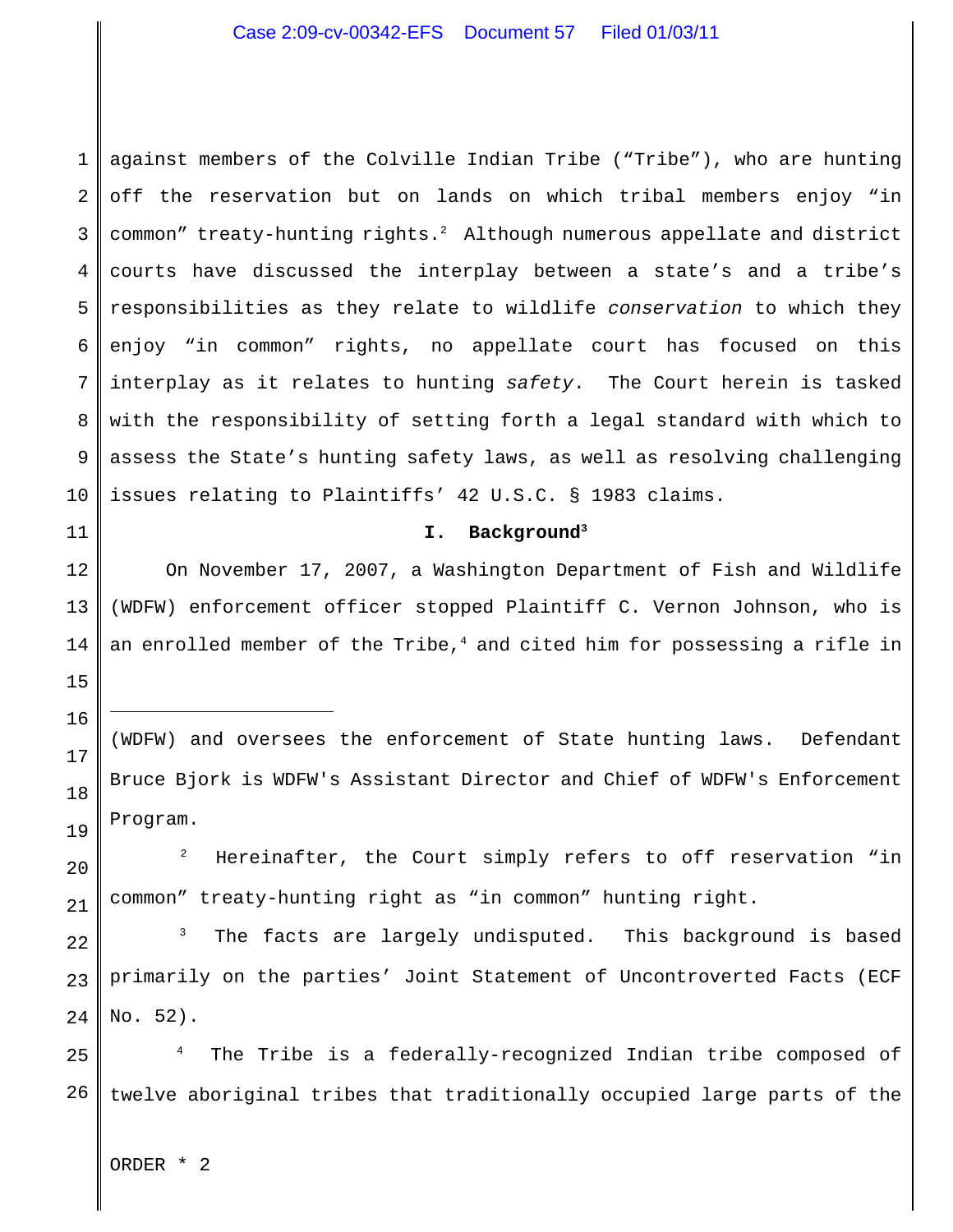1 2 3 4 5 6 7 8 9 10 against members of the Colville Indian Tribe ("Tribe"), who are hunting off the reservation but on lands on which tribal members enjoy "in common" treaty-hunting rights. $^2$  Although numerous appellate and district courts have discussed the interplay between a state's and a tribe's responsibilities as they relate to wildlife *conservation* to which they enjoy "in common" rights, no appellate court has focused on this interplay as it relates to hunting *safety*. The Court herein is tasked with the responsibility of setting forth a legal standard with which to assess the State's hunting safety laws, as well as resolving challenging issues relating to Plaintiffs' 42 U.S.C. § 1983 claims.

## **I. Background<sup>3</sup>**

On November 17, 2007, a Washington Department of Fish and Wildlife (WDFW) enforcement officer stopped Plaintiff C. Vernon Johnson, who is an enrolled member of the Tribe, $4$  and cited him for possessing a rifle in

15

11

12

13

14

16

17

18

19

20

21

(WDFW) and oversees the enforcement of State hunting laws. Defendant Bruce Bjork is WDFW's Assistant Director and Chief of WDFW's Enforcement Program.

 $1<sup>2</sup>$  Hereinafter, the Court simply refers to off reservation "in common" treaty-hunting right as "in common" hunting right.

22 23 24  $3$  The facts are largely undisputed. This background is based primarily on the parties' Joint Statement of Uncontroverted Facts (ECF No. 52).

25 26 The Tribe is a federally-recognized Indian tribe composed of twelve aboriginal tribes that traditionally occupied large parts of the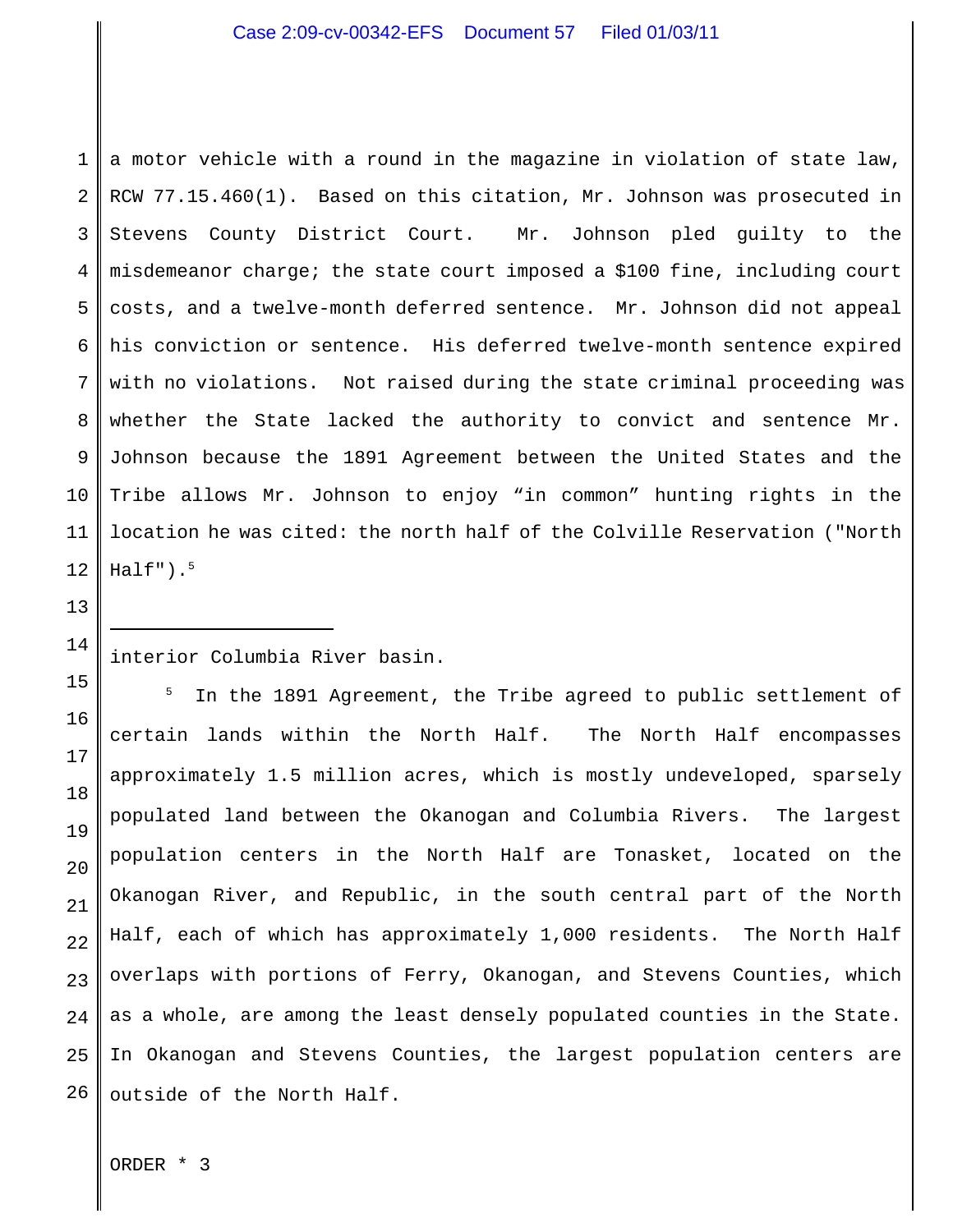1 2 3 4 5 6 7 8 9 10 11 12 a motor vehicle with a round in the magazine in violation of state law, RCW 77.15.460(1). Based on this citation, Mr. Johnson was prosecuted in Stevens County District Court. Mr. Johnson pled guilty to the misdemeanor charge; the state court imposed a \$100 fine, including court costs, and a twelve-month deferred sentence. Mr. Johnson did not appeal his conviction or sentence. His deferred twelve-month sentence expired with no violations. Not raised during the state criminal proceeding was whether the State lacked the authority to convict and sentence Mr. Johnson because the 1891 Agreement between the United States and the Tribe allows Mr. Johnson to enjoy "in common" hunting rights in the location he was cited: the north half of the Colville Reservation ("North Half"). $^5$ 

# interior Columbia River basin.

15 16 17 18 19 20 21 22 23 24 25 26 In the 1891 Agreement, the Tribe agreed to public settlement of certain lands within the North Half. The North Half encompasses approximately 1.5 million acres, which is mostly undeveloped, sparsely populated land between the Okanogan and Columbia Rivers. The largest population centers in the North Half are Tonasket, located on the Okanogan River, and Republic, in the south central part of the North Half, each of which has approximately 1,000 residents. The North Half overlaps with portions of Ferry, Okanogan, and Stevens Counties, which as a whole, are among the least densely populated counties in the State. In Okanogan and Stevens Counties, the largest population centers are outside of the North Half.

ORDER \* 3

13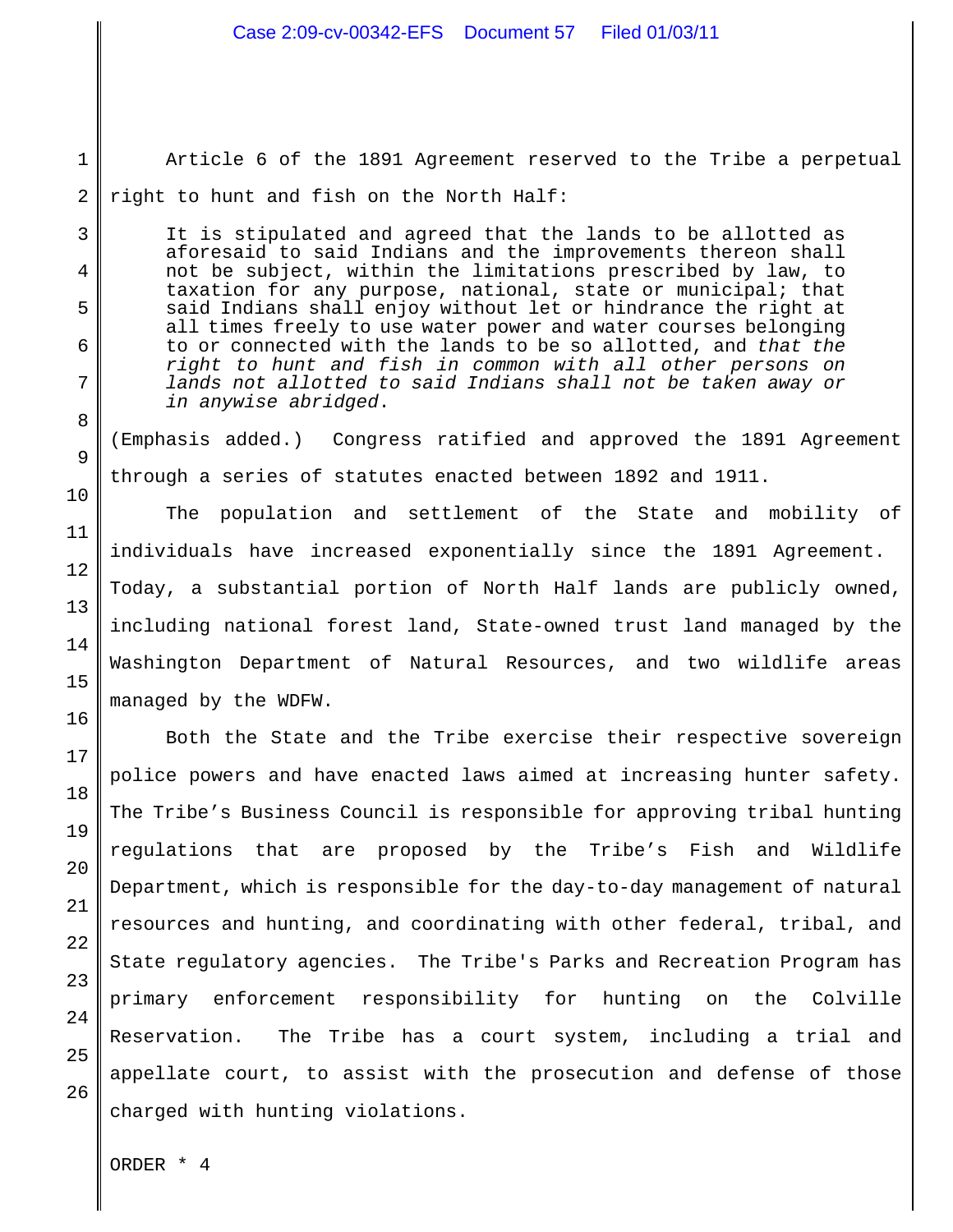Article 6 of the 1891 Agreement reserved to the Tribe a perpetual right to hunt and fish on the North Half:

It is stipulated and agreed that the lands to be allotted as aforesaid to said Indians and the improvements thereon shall not be subject, within the limitations prescribed by law, to taxation for any purpose, national, state or municipal; that said Indians shall enjoy without let or hindrance the right at all times freely to use water power and water courses belonging to or connected with the lands to be so allotted, and *that the right to hunt and fish in common with all other persons on lands not allotted to said Indians shall not be taken away or in anywise abridged*.

(Emphasis added.) Congress ratified and approved the 1891 Agreement through a series of statutes enacted between 1892 and 1911.

The population and settlement of the State and mobility of individuals have increased exponentially since the 1891 Agreement. Today, a substantial portion of North Half lands are publicly owned, including national forest land, State-owned trust land managed by the Washington Department of Natural Resources, and two wildlife areas managed by the WDFW.

Both the State and the Tribe exercise their respective sovereign police powers and have enacted laws aimed at increasing hunter safety. The Tribe's Business Council is responsible for approving tribal hunting regulations that are proposed by the Tribe's Fish and Wildlife Department, which is responsible for the day-to-day management of natural resources and hunting, and coordinating with other federal, tribal, and State regulatory agencies. The Tribe's Parks and Recreation Program has primary enforcement responsibility for hunting on the Colville Reservation. The Tribe has a court system, including a trial and appellate court, to assist with the prosecution and defense of those charged with hunting violations.

ORDER \* 4

1

2

3

4

5

6

7

8

9

10

11

12

13

14

15

16

17

18

19

20

21

22

23

24

25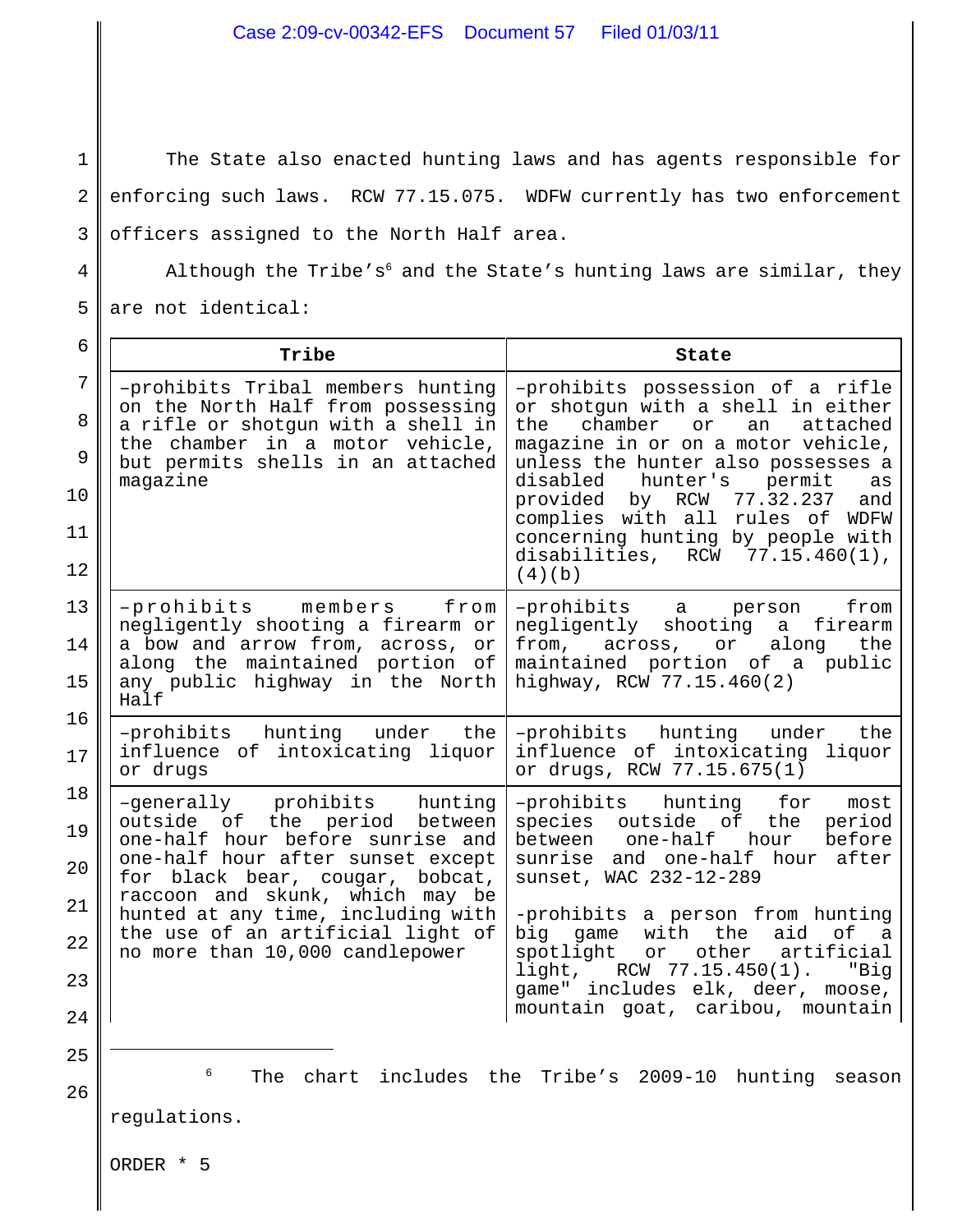1 2 3 The State also enacted hunting laws and has agents responsible for enforcing such laws. RCW 77.15.075. WDFW currently has two enforcement officers assigned to the North Half area.

Although the Tribe's<sup>6</sup> and the State's hunting laws are similar, they are not identical:

4

| 6                                      | Tribe                                                                                                                                                                                                                                                                                                                      | State                                                                                                                                                                                                                                                                                                                                                                                           |
|----------------------------------------|----------------------------------------------------------------------------------------------------------------------------------------------------------------------------------------------------------------------------------------------------------------------------------------------------------------------------|-------------------------------------------------------------------------------------------------------------------------------------------------------------------------------------------------------------------------------------------------------------------------------------------------------------------------------------------------------------------------------------------------|
| 7<br>8<br>9<br>10<br>11<br>12          | -prohibits Tribal members hunting<br>on the North Half from possessing<br>a rifle or shotgun with a shell in<br>the chamber in a motor vehicle,<br>but permits shells in an attached<br>magazine                                                                                                                           | -prohibits possession of a rifle<br>or shotgun with a shell in either<br>chamber<br>or<br>the<br>an<br>attached<br>magazine in or on a motor vehicle,<br>unless the hunter also possesses a<br>disabled<br>hunter's<br>permit<br>as<br>provided by RCW 77.32.237<br>and<br>complies with all rules of WDFW<br>concerning hunting by people with<br>disabilities, $RCW$ 77.15.460(1),<br>(4)(b)  |
| 13<br>14<br>15                         | -prohibits members from<br>negligently shooting a firearm or<br>a bow and arrow from, across, or<br>along the maintained portion of<br>any public highway in the North<br>Half                                                                                                                                             | -prohibits a person<br>from<br>negligently shooting a firearm<br>from, across, or<br>along<br>the<br>maintained portion of a public<br>highway, RCW 77.15.460(2)                                                                                                                                                                                                                                |
| 16<br>17                               | -prohibits hunting under the<br>influence of intoxicating liquor<br>or drugs                                                                                                                                                                                                                                               | -prohibits hunting under<br>the<br>influence of intoxicating liquor<br>or drugs, RCW 77.15.675(1)                                                                                                                                                                                                                                                                                               |
| 18<br>19<br>20<br>21<br>22<br>23<br>24 | -generally prohibits hunting<br>outside of the period between<br>one-half hour before sunrise and<br>one-half hour after sunset except<br>for black bear, cougar, bobcat,<br>raccoon and skunk, which may be<br>hunted at any time, including with<br>the use of an artificial light of<br>no more than 10,000 candlepower | -prohibits hunting for<br>most<br>species outside of the<br>period<br>between one-half hour<br>before<br>sunrise and one-half hour after<br>sunset, WAC 232-12-289<br>-prohibits a person from hunting<br>big game with the<br>aid<br>of a<br>spotlight or other<br>artificial<br>$light,$ RCW $77.15.450(1)$ .<br>"Big<br>game" includes elk, deer, moose,<br>mountain goat, caribou, mountain |
| 25<br>26                               | 6<br>chart<br>The<br>regulations.                                                                                                                                                                                                                                                                                          | includes the Tribe's 2009-10<br>hunting<br>season                                                                                                                                                                                                                                                                                                                                               |
|                                        | ORDER * 5                                                                                                                                                                                                                                                                                                                  |                                                                                                                                                                                                                                                                                                                                                                                                 |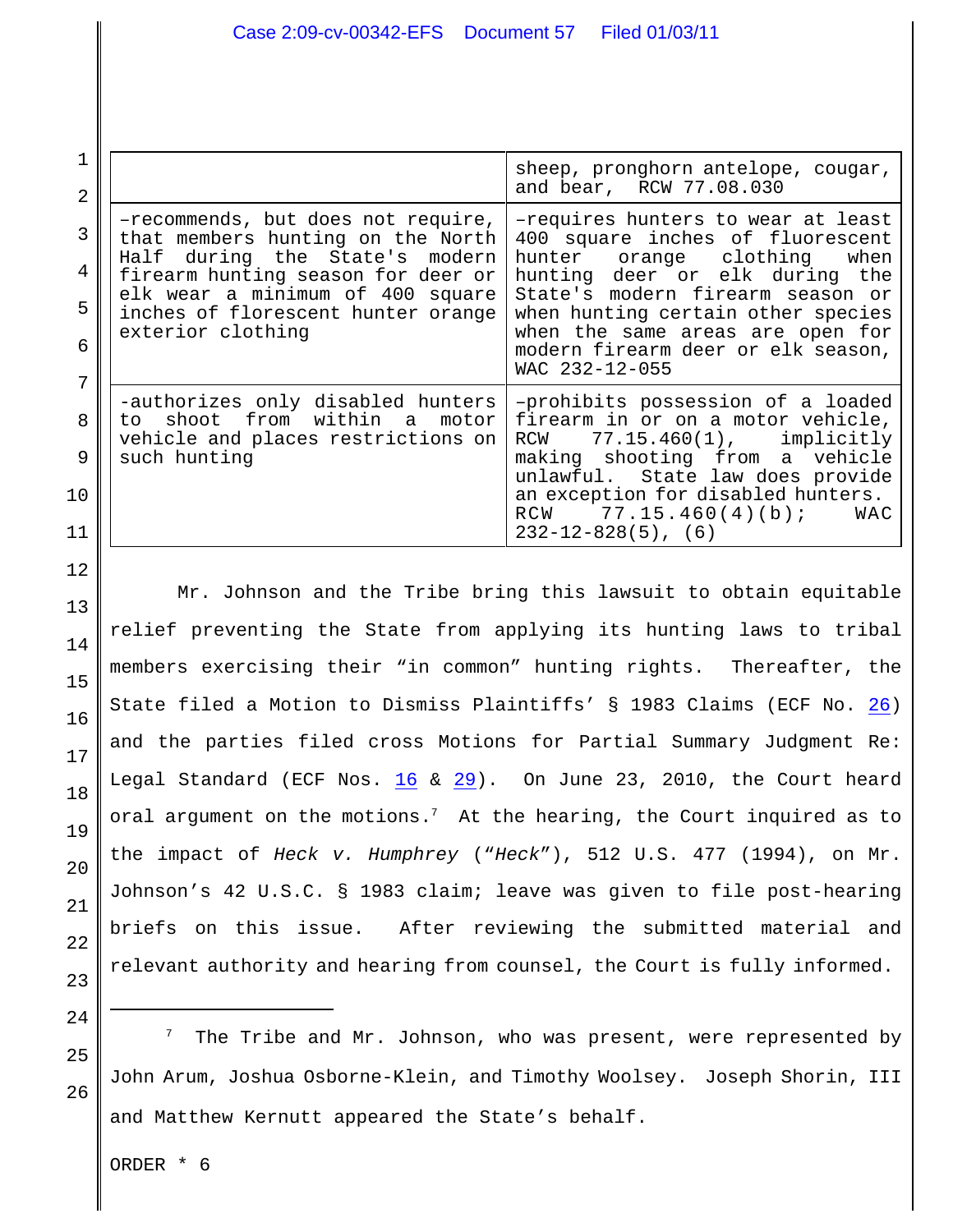| 2                |                                                                                                                                                                                                                                                   | sheep, pronghorn antelope, cougar,<br>and bear, RCW 77.08.030                                                                                                                                                                                                                                                    |
|------------------|---------------------------------------------------------------------------------------------------------------------------------------------------------------------------------------------------------------------------------------------------|------------------------------------------------------------------------------------------------------------------------------------------------------------------------------------------------------------------------------------------------------------------------------------------------------------------|
| 3<br>4<br>5<br>6 | -recommends, but does not require,<br>that members hunting on the North<br>during the State's modern<br>Half<br>firearm hunting season for deer or<br>elk wear a minimum of 400 square<br>inches of florescent hunter orange<br>exterior clothing | -requires hunters to wear at least<br>400 square inches of fluorescent<br>hunter orange clothing<br>when<br>hunting deer or elk during the<br>State's modern firearm season or<br>when hunting certain other species<br>when the same areas are open for<br>modern firearm deer or elk season,<br>WAC 232-12-055 |
| 8<br>9<br>10     | -authorizes only disabled hunters<br>to shoot from within a<br>motor<br>vehicle and places restrictions on<br>such hunting                                                                                                                        | -prohibits possession of a loaded<br>firearm in or on a motor vehicle,<br>$77.15.460(1)$ , implicitly<br>RCW<br>making shooting from a vehicle<br>unlawful. State law does provide<br>an exception for disabled hunters.<br>RCW $77.15.460(4)(b)$ ;<br>WAC<br>$232 - 12 - 828(5)$ , (6)                          |

Mr. Johnson and the Tribe bring this lawsuit to obtain equitable relief preventing the State from applying its hunting laws to tribal members exercising their "in common" hunting rights. Thereafter, the State filed a Motion to Dismiss Plaintiffs' § 1983 Claims (ECF No. [26](https://ecf.waed.uscourts.gov/doc1/19501384188)) and the parties filed cross Motions for Partial Summary Judgment Re: Legal Standard (ECF Nos. [16](https://ecf.waed.circ9.dcn/cgi-bin/show_doc.pl?caseid=48902&de_seq_num=58&dm_id=1294998&doc_num=16&pdf_header=1) & [29](https://ecf.waed.circ9.dcn/cgi-bin/show_doc.pl?caseid=48902&de_seq_num=94&dm_id=1312418&doc_num=29&pdf_header=1)). On June 23, 2010, the Court heard oral argument on the motions.<sup>7</sup> At the hearing, the Court inquired as to the impact of *Heck v. Humphrey* ("*Heck*"), 512 U.S. 477 (1994), on Mr. Johnson's 42 U.S.C. § 1983 claim; leave was given to file post-hearing briefs on this issue. After reviewing the submitted material and relevant authority and hearing from counsel, the Court is fully informed.

24

25

26

12

13

14

15

16

17

18

19

20

21

22

23

The Tribe and Mr. Johnson, who was present, were represented by John Arum, Joshua Osborne-Klein, and Timothy Woolsey. Joseph Shorin, III and Matthew Kernutt appeared the State's behalf.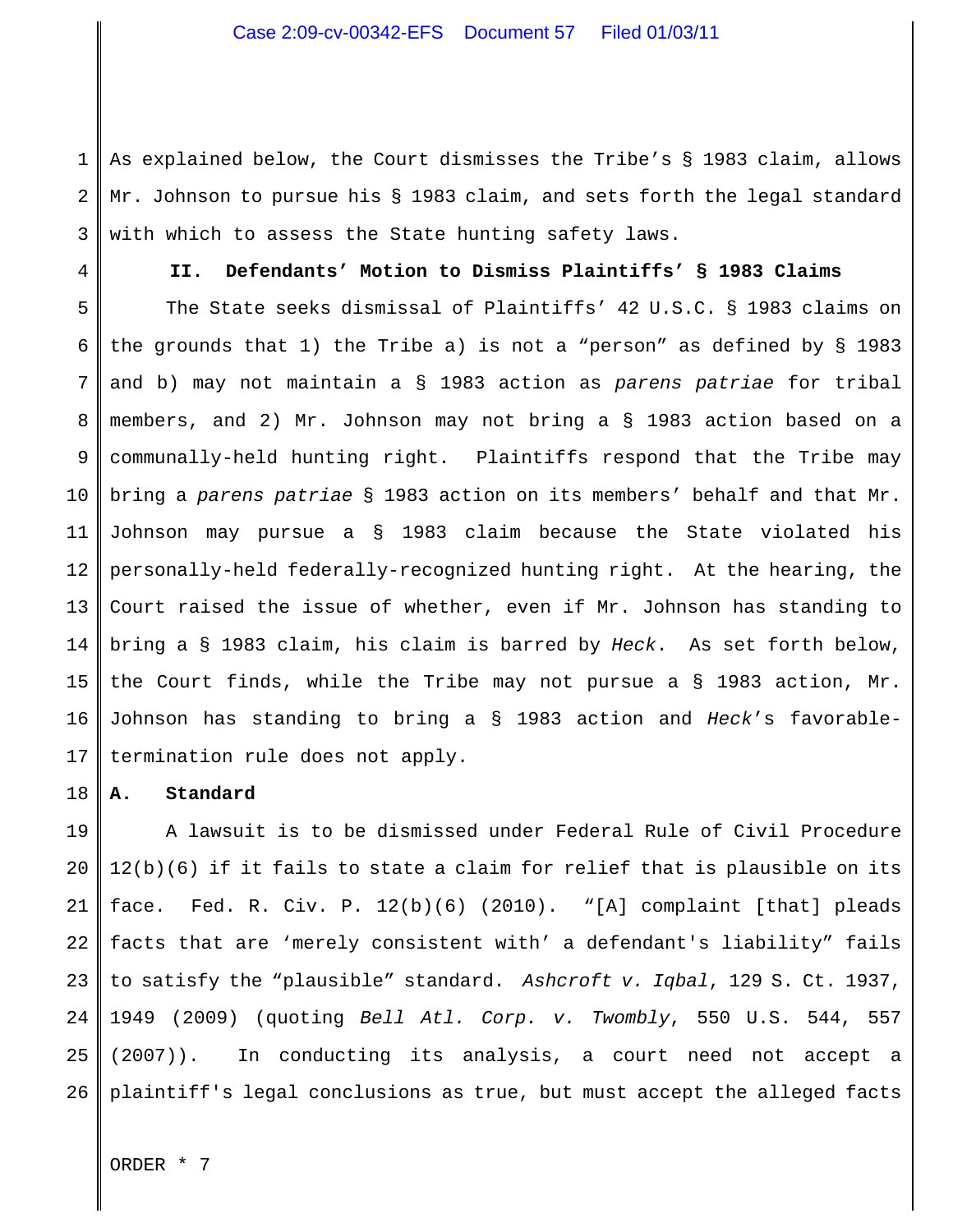1 2 3 As explained below, the Court dismisses the Tribe's § 1983 claim, allows Mr. Johnson to pursue his § 1983 claim, and sets forth the legal standard with which to assess the State hunting safety laws.

4

## **II. Defendants' Motion to Dismiss Plaintiffs' § 1983 Claims**

5 6 7 8 9 10 11 12 13 14 15 16 17 The State seeks dismissal of Plaintiffs' 42 U.S.C. § 1983 claims on the grounds that 1) the Tribe a) is not a "person" as defined by § 1983 and b) may not maintain a § 1983 action as *parens patriae* for tribal members, and 2) Mr. Johnson may not bring a § 1983 action based on a communally-held hunting right. Plaintiffs respond that the Tribe may bring a *parens patriae* § 1983 action on its members' behalf and that Mr. Johnson may pursue a § 1983 claim because the State violated his personally-held federally-recognized hunting right. At the hearing, the Court raised the issue of whether, even if Mr. Johnson has standing to bring a § 1983 claim, his claim is barred by *Heck*. As set forth below, the Court finds, while the Tribe may not pursue a § 1983 action, Mr. Johnson has standing to bring a § 1983 action and *Heck*'s favorabletermination rule does not apply.

#### 18 **A. Standard**

19 20 21 22 23 24 25 26 A lawsuit is to be dismissed under Federal Rule of Civil Procedure 12(b)(6) if it fails to state a claim for relief that is plausible on its face. Fed. R. Civ. P. 12(b)(6) (2010). "[A] complaint [that] pleads facts that are 'merely consistent with' a defendant's liability" fails to satisfy the "plausible" standard. *Ashcroft v. Iqbal*, 129 S. Ct. 1937, 1949 (2009) (quoting *Bell Atl. Corp. v. Twombly*, 550 U.S. 544, 557 (2007)). In conducting its analysis, a court need not accept a plaintiff's legal conclusions as true, but must accept the alleged facts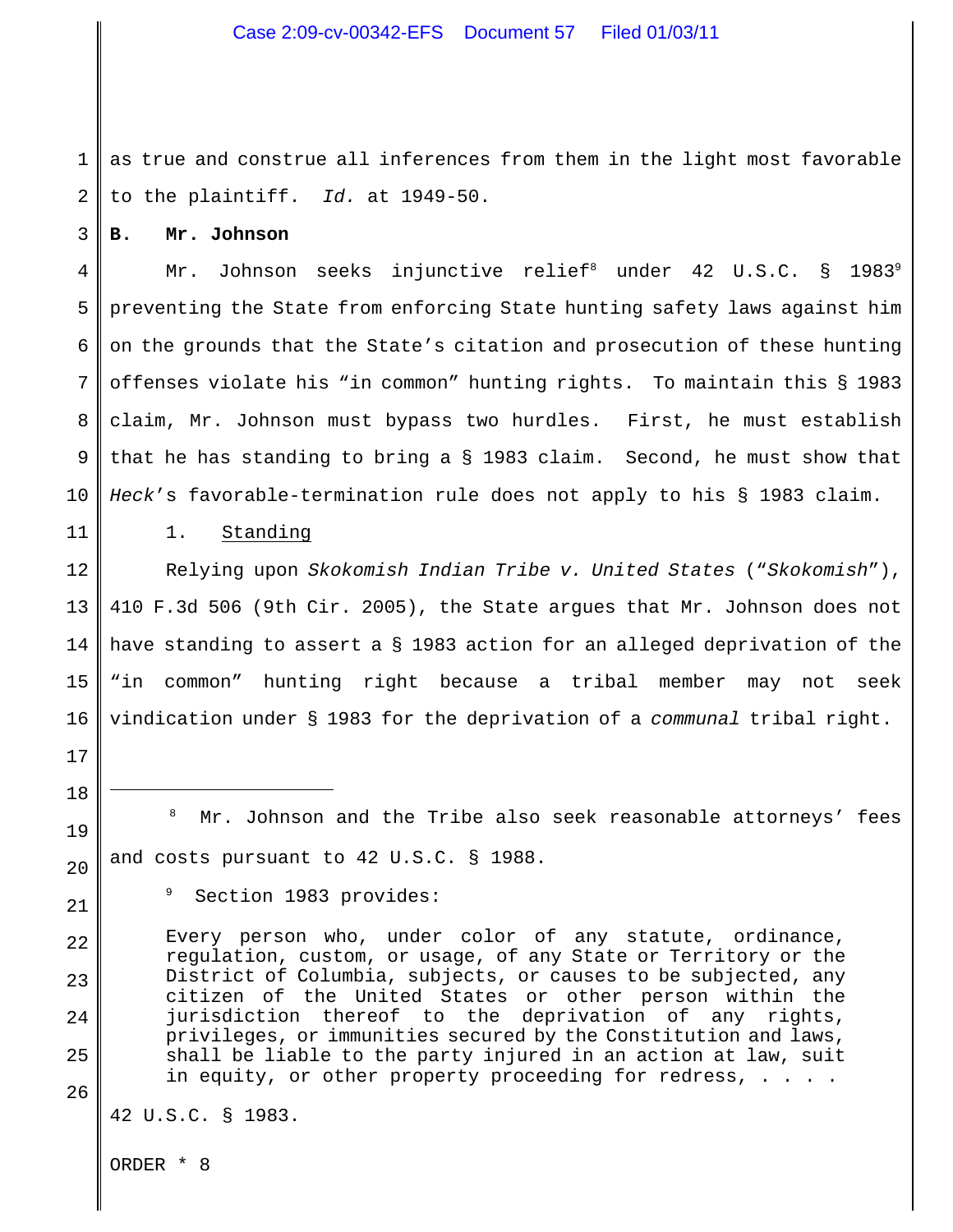1 2 as true and construe all inferences from them in the light most favorable to the plaintiff. *Id.* at 1949-50.

**B. Mr. Johnson**

3

11

17

18

19

20

22

23

24

25

4 5 6 7 8 9 10 Mr. Johnson seeks injunctive relief<sup>8</sup> under 42 U.S.C. § 1983<sup>9</sup> preventing the State from enforcing State hunting safety laws against him on the grounds that the State's citation and prosecution of these hunting offenses violate his "in common" hunting rights. To maintain this § 1983 claim, Mr. Johnson must bypass two hurdles. First, he must establish that he has standing to bring a § 1983 claim. Second, he must show that *Heck*'s favorable-termination rule does not apply to his § 1983 claim.

1. Standing

12 13 14 15 16 Relying upon *Skokomish Indian Tribe v. United States* ("*Skokomish*"), 410 F.3d 506 (9th Cir. 2005), the State argues that Mr. Johnson does not have standing to assert a § 1983 action for an alleged deprivation of the "in common" hunting right because a tribal member may not seek vindication under § 1983 for the deprivation of a *communal* tribal right.

Mr. Johnson and the Tribe also seek reasonable attorneys' fees and costs pursuant to 42 U.S.C. § 1988.

21

Section 1983 provides:

Every person who, under color of any statute, ordinance, regulation, custom, or usage, of any State or Territory or the District of Columbia, subjects, or causes to be subjected, any citizen of the United States or other person within the jurisdiction thereof to the deprivation of any rights, privileges, or immunities secured by the Constitution and laws, shall be liable to the party injured in an action at law, suit in equity, or other property proceeding for redress, . . . .

26

42 U.S.C. § 1983.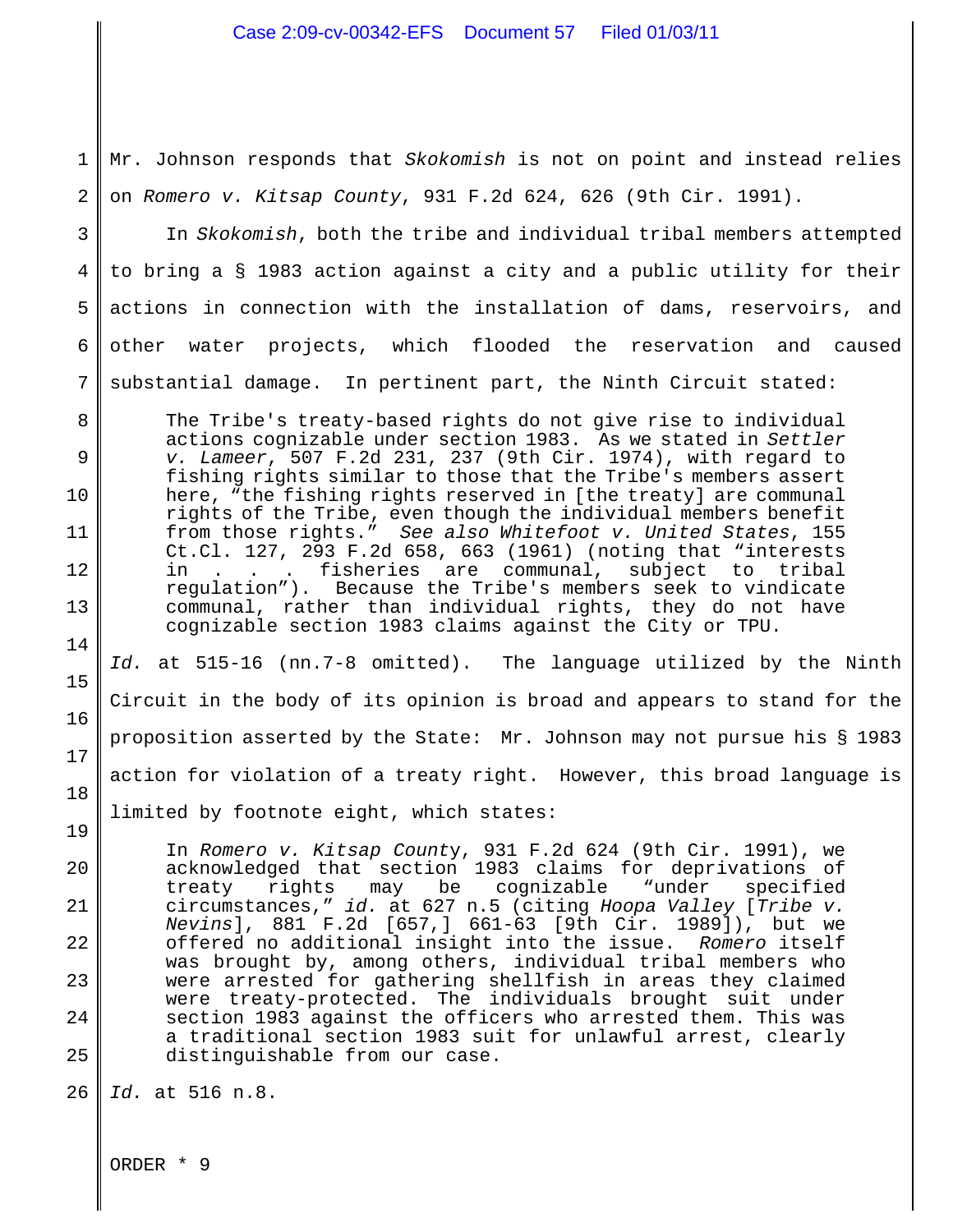1 2 Mr. Johnson responds that *Skokomish* is not on point and instead relies on *Romero v. Kitsap County*, 931 F.2d 624, 626 (9th Cir. 1991).

3 4 5 6 7 In *Skokomish*, both the tribe and individual tribal members attempted to bring a § 1983 action against a city and a public utility for their actions in connection with the installation of dams, reservoirs, and other water projects, which flooded the reservation and caused substantial damage. In pertinent part, the Ninth Circuit stated:

The Tribe's treaty-based rights do not give rise to individual actions cognizable under section 1983. As we stated in *Settler v. Lameer*, 507 F.2d 231, 237 (9th Cir. 1974), with regard to fishing rights similar to those that the Tribe's members assert here, "the fishing rights reserved in [the treaty] are communal rights of the Tribe, even though the individual members benefit from those rights." *See also Whitefoot v. United States*, 155 Ct.Cl. 127, 293 F.2d 658, 663 (1961) (noting that "interests in . . . fisheries are communal, subject to tribal regulation"). Because the Tribe's members seek to vindicate communal, rather than individual rights, they do not have cognizable section 1983 claims against the City or TPU.

*Id.* at 515-16 (nn.7-8 omitted). The language utilized by the Ninth Circuit in the body of its opinion is broad and appears to stand for the proposition asserted by the State: Mr. Johnson may not pursue his § 1983 action for violation of a treaty right. However, this broad language is limited by footnote eight, which states:

In *Romero v. Kitsap Count*y, 931 F.2d 624 (9th Cir. 1991), we acknowledged that section 1983 claims for deprivations of treaty rights may be cognizable "under specified circumstances," *id.* at 627 n.5 (citing *Hoopa Valley* [*Tribe v. Nevins*], 881 F.2d [657,] 661-63 [9th Cir. 1989]), but we offered no additional insight into the issue. *Romero* itself was brought by, among others, individual tribal members who were arrested for gathering shellfish in areas they claimed were treaty-protected. The individuals brought suit under section 1983 against the officers who arrested them. This was a traditional section 1983 suit for unlawful arrest, clearly distinguishable from our case.

26 *Id.* at 516 n.8.

ORDER \* 9

8

9

10

11

12

13

14

15

16

17

18

19

20

21

22

23

24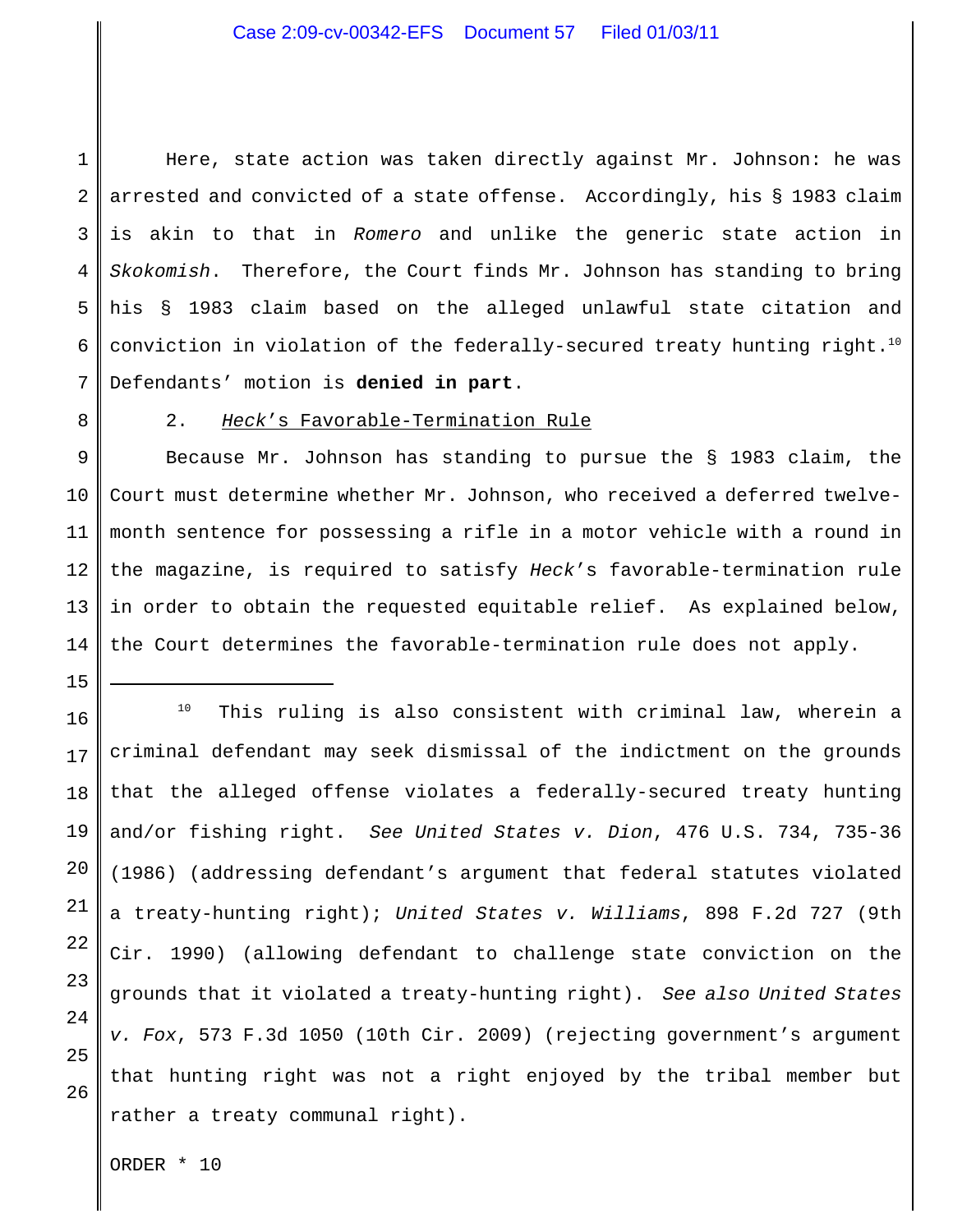### Case 2:09-cv-00342-EFS Document 57 Filed 01/03/11

1 2 3 4 5 6 7 Here, state action was taken directly against Mr. Johnson: he was arrested and convicted of a state offense. Accordingly, his § 1983 claim is akin to that in *Romero* and unlike the generic state action in *Skokomish*. Therefore, the Court finds Mr. Johnson has standing to bring his § 1983 claim based on the alleged unlawful state citation and conviction in violation of the federally-secured treaty hunting right.<sup>10</sup> Defendants' motion is **denied in part**.

8

15

### 2. *Heck*'s Favorable-Termination Rule

9 10 11 12 13 14 Because Mr. Johnson has standing to pursue the § 1983 claim, the Court must determine whether Mr. Johnson, who received a deferred twelvemonth sentence for possessing a rifle in a motor vehicle with a round in the magazine, is required to satisfy *Heck*'s favorable-termination rule in order to obtain the requested equitable relief. As explained below, the Court determines the favorable-termination rule does not apply.

16 17 18 19 20 21 22 23 24 25 26 This ruling is also consistent with criminal law, wherein a 10 criminal defendant may seek dismissal of the indictment on the grounds that the alleged offense violates a federally-secured treaty hunting and/or fishing right. *See United States v. Dion*, 476 U.S. 734, 735-36 (1986) (addressing defendant's argument that federal statutes violated a treaty-hunting right); *United States v. Williams*, 898 F.2d 727 (9th Cir. 1990) (allowing defendant to challenge state conviction on the grounds that it violated a treaty-hunting right). *See also United States v. Fox*, 573 F.3d 1050 (10th Cir. 2009) (rejecting government's argument that hunting right was not a right enjoyed by the tribal member but rather a treaty communal right).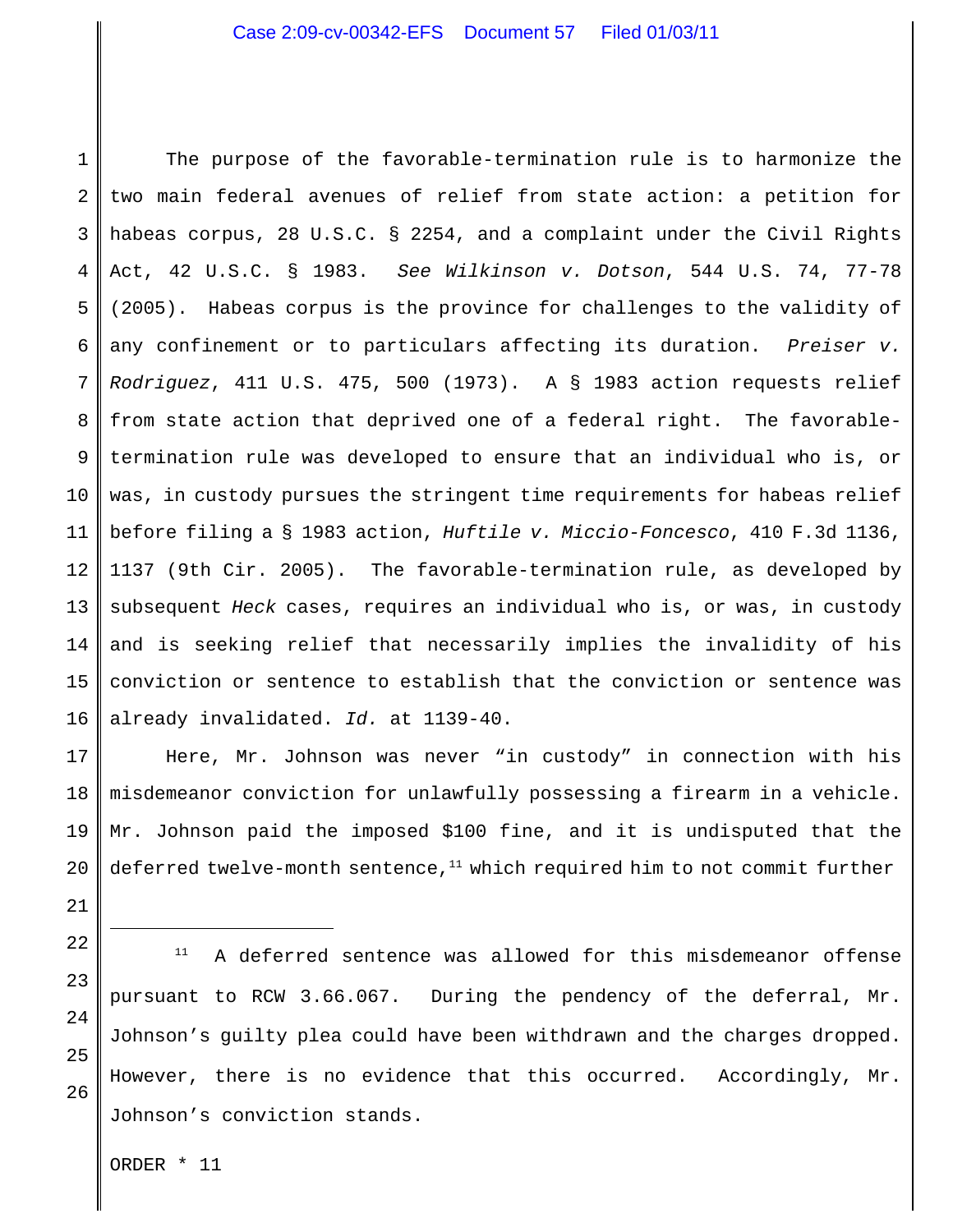1 2 3 4 5 6 7 8 9 10 11 12 13 14 15 16 The purpose of the favorable-termination rule is to harmonize the two main federal avenues of relief from state action: a petition for habeas corpus, 28 U.S.C. § 2254, and a complaint under the Civil Rights Act, 42 U.S.C. § 1983. *See Wilkinson v. Dotson*, 544 U.S. 74, 77-78 (2005). Habeas corpus is the province for challenges to the validity of any confinement or to particulars affecting its duration. *Preiser v. Rodriguez*, 411 U.S. 475, 500 (1973). A § 1983 action requests relief from state action that deprived one of a federal right. The favorabletermination rule was developed to ensure that an individual who is, or was, in custody pursues the stringent time requirements for habeas relief before filing a § 1983 action, *Huftile v. Miccio-Foncesco*, 410 F.3d 1136, 1137 (9th Cir. 2005). The favorable-termination rule, as developed by subsequent *Heck* cases, requires an individual who is, or was, in custody and is seeking relief that necessarily implies the invalidity of his conviction or sentence to establish that the conviction or sentence was already invalidated. *Id.* at 1139-40.

17 18 19 20 Here, Mr. Johnson was never "in custody" in connection with his misdemeanor conviction for unlawfully possessing a firearm in a vehicle. Mr. Johnson paid the imposed \$100 fine, and it is undisputed that the deferred twelve-month sentence, $^{11}$  which required him to not commit further

21 22

23

24

25

26

 $11$  A deferred sentence was allowed for this misdemeanor offense pursuant to RCW 3.66.067. During the pendency of the deferral, Mr. Johnson's guilty plea could have been withdrawn and the charges dropped. However, there is no evidence that this occurred. Accordingly, Mr. Johnson's conviction stands.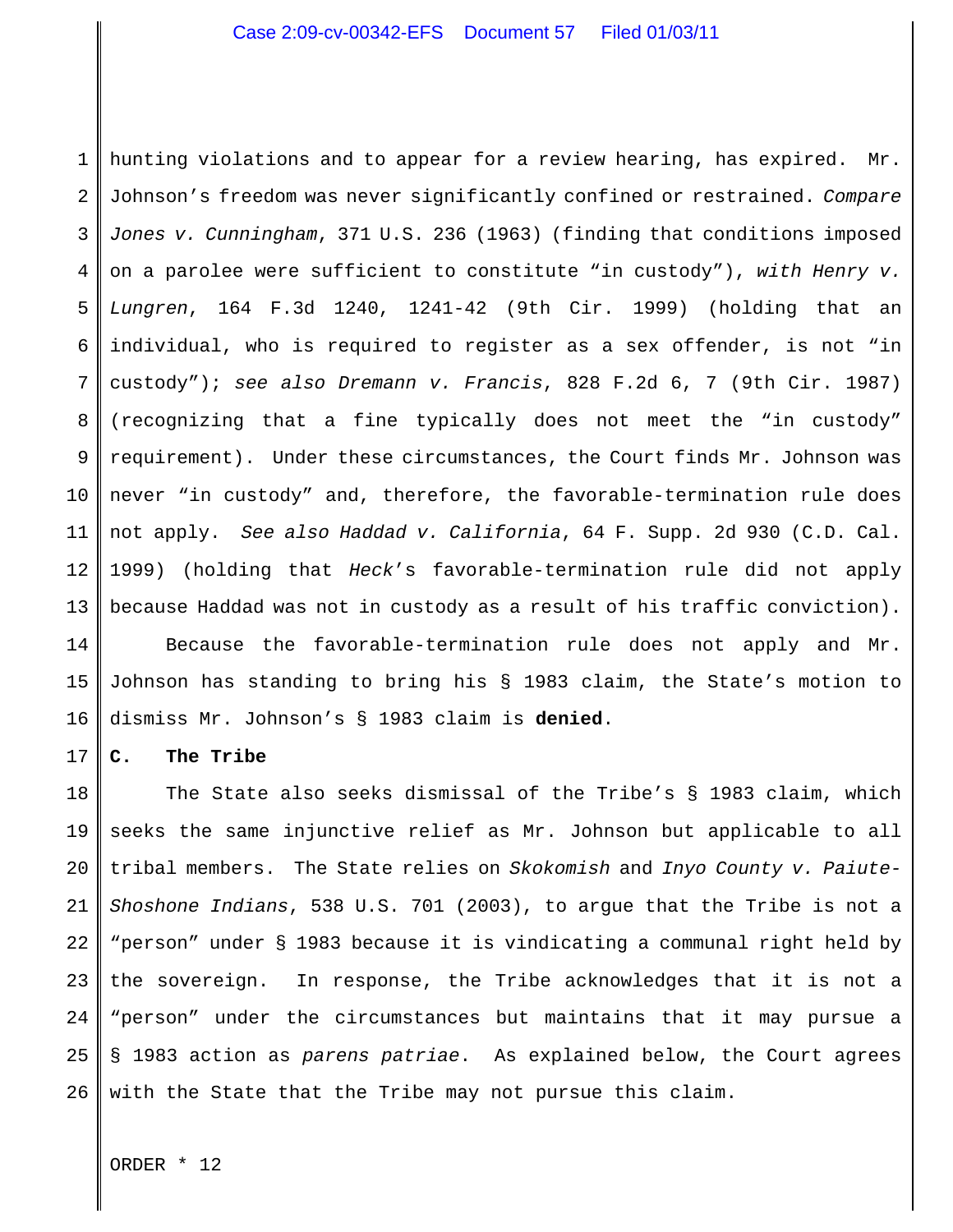1 2 3 4 5 6 7 8 9 10 11 12 13 hunting violations and to appear for a review hearing, has expired. Mr. Johnson's freedom was never significantly confined or restrained. *Compare Jones v. Cunningham*, 371 U.S. 236 (1963) (finding that conditions imposed on a parolee were sufficient to constitute "in custody"), *with Henry v. Lungren*, 164 F.3d 1240, 1241-42 (9th Cir. 1999) (holding that an individual, who is required to register as a sex offender, is not "in custody"); *see also Dremann v. Francis*, 828 F.2d 6, 7 (9th Cir. 1987) (recognizing that a fine typically does not meet the "in custody" requirement). Under these circumstances, the Court finds Mr. Johnson was never "in custody" and, therefore, the favorable-termination rule does not apply. *See also Haddad v. California*, 64 F. Supp. 2d 930 (C.D. Cal. 1999) (holding that *Heck*'s favorable-termination rule did not apply because Haddad was not in custody as a result of his traffic conviction).

14 15 16 Because the favorable-termination rule does not apply and Mr. Johnson has standing to bring his § 1983 claim, the State's motion to dismiss Mr. Johnson's § 1983 claim is **denied**.

#### 17 **C. The Tribe**

18 19 20 21 22 23 24 25 26 The State also seeks dismissal of the Tribe's § 1983 claim, which seeks the same injunctive relief as Mr. Johnson but applicable to all tribal members. The State relies on *Skokomish* and *Inyo County v. Paiute-Shoshone Indians*, 538 U.S. 701 (2003), to argue that the Tribe is not a "person" under § 1983 because it is vindicating a communal right held by the sovereign. In response, the Tribe acknowledges that it is not a "person" under the circumstances but maintains that it may pursue a § 1983 action as *parens patriae*. As explained below, the Court agrees with the State that the Tribe may not pursue this claim.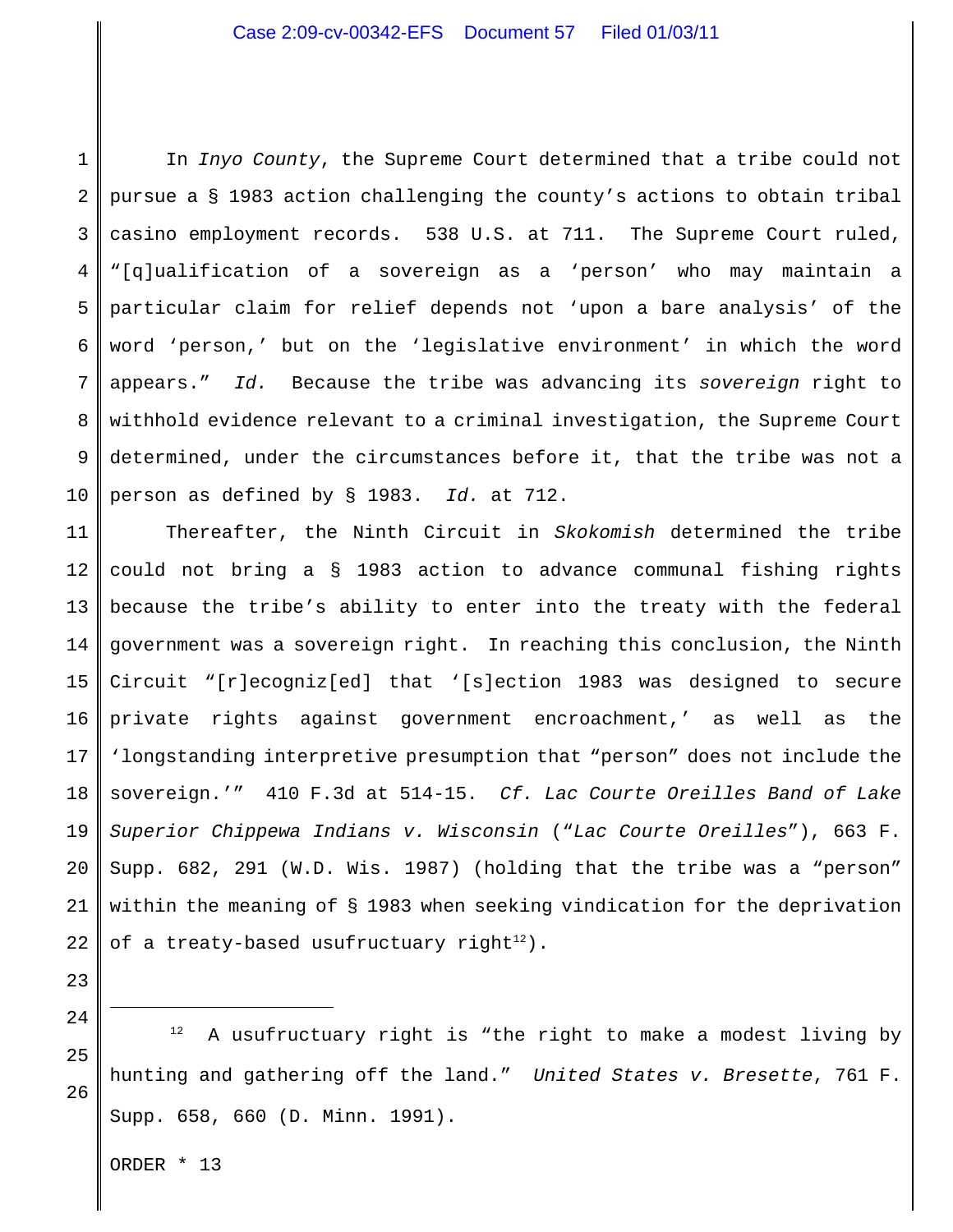1 2 3 4 5 6 7 8 9 10 In *Inyo County*, the Supreme Court determined that a tribe could not pursue a § 1983 action challenging the county's actions to obtain tribal casino employment records. 538 U.S. at 711. The Supreme Court ruled, "[q]ualification of a sovereign as a 'person' who may maintain a particular claim for relief depends not 'upon a bare analysis' of the word 'person,' but on the 'legislative environment' in which the word appears." *Id.* Because the tribe was advancing its *sovereign* right to withhold evidence relevant to a criminal investigation, the Supreme Court determined, under the circumstances before it, that the tribe was not a person as defined by § 1983. *Id.* at 712.

11 12 13 14 15 16 17 18 19 20 21 22 Thereafter, the Ninth Circuit in *Skokomish* determined the tribe could not bring a § 1983 action to advance communal fishing rights because the tribe's ability to enter into the treaty with the federal government was a sovereign right. In reaching this conclusion, the Ninth Circuit "[r]ecogniz[ed] that '[s]ection 1983 was designed to secure private rights against government encroachment,' as well as the 'longstanding interpretive presumption that "person" does not include the sovereign.'" 410 F.3d at 514-15. *Cf. Lac Courte Oreilles Band of Lake Superior Chippewa Indians v. Wisconsin* ("*Lac Courte Oreilles*"), 663 F. Supp. 682, 291 (W.D. Wis. 1987) (holding that the tribe was a "person" within the meaning of § 1983 when seeking vindication for the deprivation of a treaty-based usufructuary right<sup>12</sup>).

25 26  $12$  A usufructuary right is "the right to make a modest living by hunting and gathering off the land." *United States v. Bresette*, 761 F. Supp. 658, 660 (D. Minn. 1991).

ORDER \* 13

23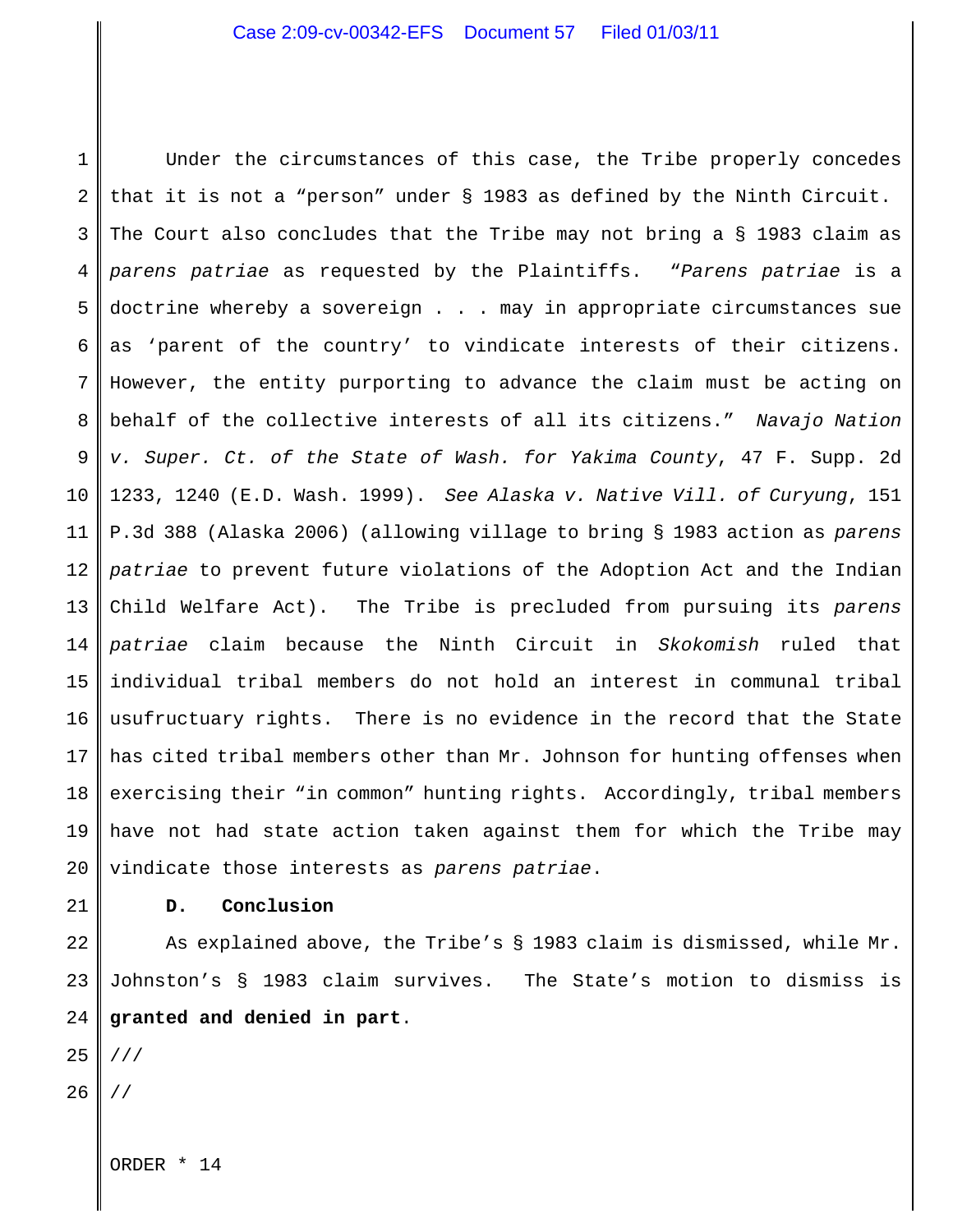1 2 3 4 5 6 7 8 9 10 11 12 13 14 15 16 17 18 19 20 Under the circumstances of this case, the Tribe properly concedes that it is not a "person" under § 1983 as defined by the Ninth Circuit. The Court also concludes that the Tribe may not bring a § 1983 claim as *parens patriae* as requested by the Plaintiffs. "*Parens patriae* is a doctrine whereby a sovereign . . . may in appropriate circumstances sue as 'parent of the country' to vindicate interests of their citizens. However, the entity purporting to advance the claim must be acting on behalf of the collective interests of all its citizens." *Navajo Nation v. Super. Ct. of the State of Wash. for Yakima County*, 47 F. Supp. 2d 1233, 1240 (E.D. Wash. 1999). *See Alaska v. Native Vill. of Curyung*, 151 P.3d 388 (Alaska 2006) (allowing village to bring § 1983 action as *parens patriae* to prevent future violations of the Adoption Act and the Indian Child Welfare Act). The Tribe is precluded from pursuing its *parens patriae* claim because the Ninth Circuit in *Skokomish* ruled that individual tribal members do not hold an interest in communal tribal usufructuary rights. There is no evidence in the record that the State has cited tribal members other than Mr. Johnson for hunting offenses when exercising their "in common" hunting rights. Accordingly, tribal members have not had state action taken against them for which the Tribe may vindicate those interests as *parens patriae*.

21

# **D. Conclusion**

22 23 24 As explained above, the Tribe's § 1983 claim is dismissed, while Mr. Johnston's § 1983 claim survives. The State's motion to dismiss is **granted and denied in part**.

25 ///

26 //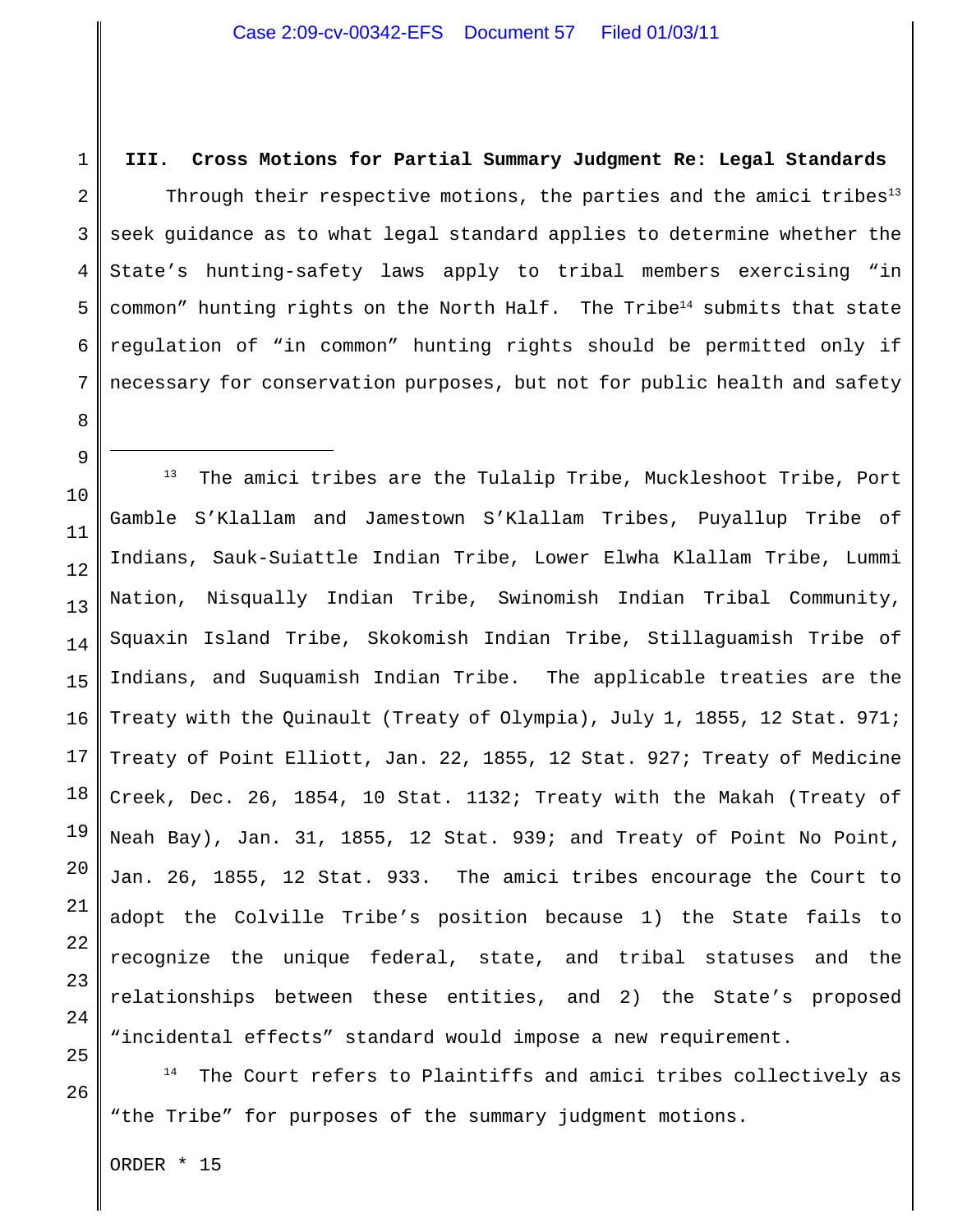**III. Cross Motions for Partial Summary Judgment Re: Legal Standards** Through their respective motions, the parties and the amici tribes $13$ seek guidance as to what legal standard applies to determine whether the State's hunting-safety laws apply to tribal members exercising "in common" hunting rights on the North Half. The Tribe<sup>14</sup> submits that state regulation of "in common" hunting rights should be permitted only if necessary for conservation purposes, but not for public health and safety

20 21 22 23 24 25  $13$  The amici tribes are the Tulalip Tribe, Muckleshoot Tribe, Port Gamble S'Klallam and Jamestown S'Klallam Tribes, Puyallup Tribe of Indians, Sauk-Suiattle Indian Tribe, Lower Elwha Klallam Tribe, Lummi Nation, Nisqually Indian Tribe, Swinomish Indian Tribal Community, Squaxin Island Tribe, Skokomish Indian Tribe, Stillaguamish Tribe of Indians, and Suquamish Indian Tribe. The applicable treaties are the Treaty with the Quinault (Treaty of Olympia), July 1, 1855, 12 Stat. 971; Treaty of Point Elliott, Jan. 22, 1855, 12 Stat. 927; Treaty of Medicine Creek, Dec. 26, 1854, 10 Stat. 1132; Treaty with the Makah (Treaty of Neah Bay), Jan. 31, 1855, 12 Stat. 939; and Treaty of Point No Point, Jan. 26, 1855, 12 Stat. 933. The amici tribes encourage the Court to adopt the Colville Tribe's position because 1) the State fails to recognize the unique federal, state, and tribal statuses and the relationships between these entities, and 2) the State's proposed "incidental effects" standard would impose a new requirement.

 $14$  The Court refers to Plaintiffs and amici tribes collectively as "the Tribe" for purposes of the summary judgment motions.

ORDER \* 15

26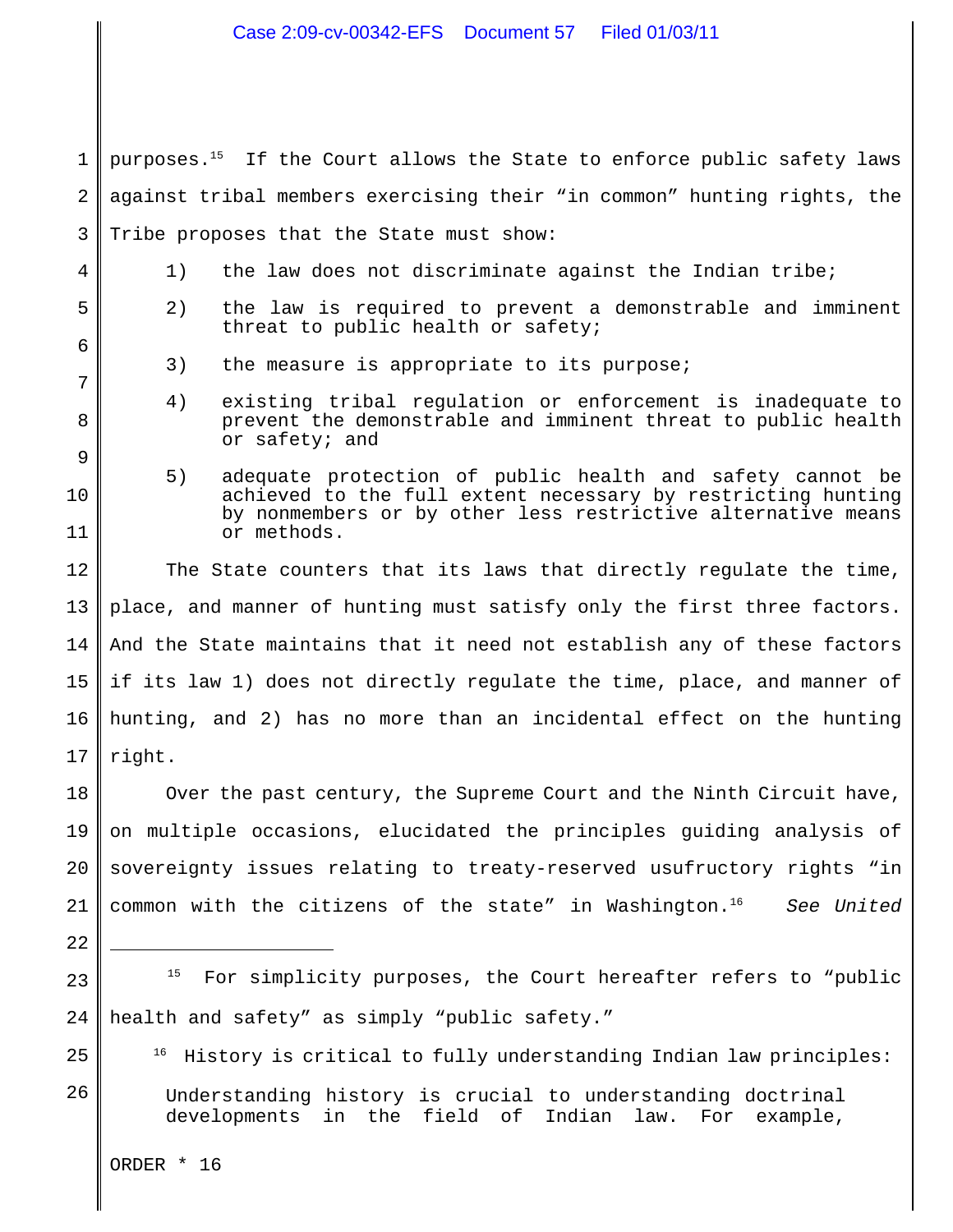1 2 3 purposes.<sup>15</sup> If the Court allows the State to enforce public safety laws against tribal members exercising their "in common" hunting rights, the Tribe proposes that the State must show:

- 1) the law does not discriminate against the Indian tribe;
	- 2) the law is required to prevent a demonstrable and imminent threat to public health or safety;
		- 3) the measure is appropriate to its purpose;
		- 4) existing tribal regulation or enforcement is inadequate to prevent the demonstrable and imminent threat to public health or safety; and
	- 5) adequate protection of public health and safety cannot be achieved to the full extent necessary by restricting hunting by nonmembers or by other less restrictive alternative means or methods.

12 13 14 15 16 17 The State counters that its laws that directly regulate the time, place, and manner of hunting must satisfy only the first three factors. And the State maintains that it need not establish any of these factors if its law 1) does not directly regulate the time, place, and manner of hunting, and 2) has no more than an incidental effect on the hunting right.

18 19 20 21 Over the past century, the Supreme Court and the Ninth Circuit have, on multiple occasions, elucidated the principles guiding analysis of sovereignty issues relating to treaty-reserved usufructory rights "in common with the citizens of the state" in Washington.<sup>16</sup> See United

22

25

4

5

6

7

8

9

10

11

- 23 24  $15$  For simplicity purposes, the Court hereafter refers to "public health and safety" as simply "public safety."
	- $16$  History is critical to fully understanding Indian law principles:
- 26 Understanding history is crucial to understanding doctrinal developments in the field of Indian law. For example,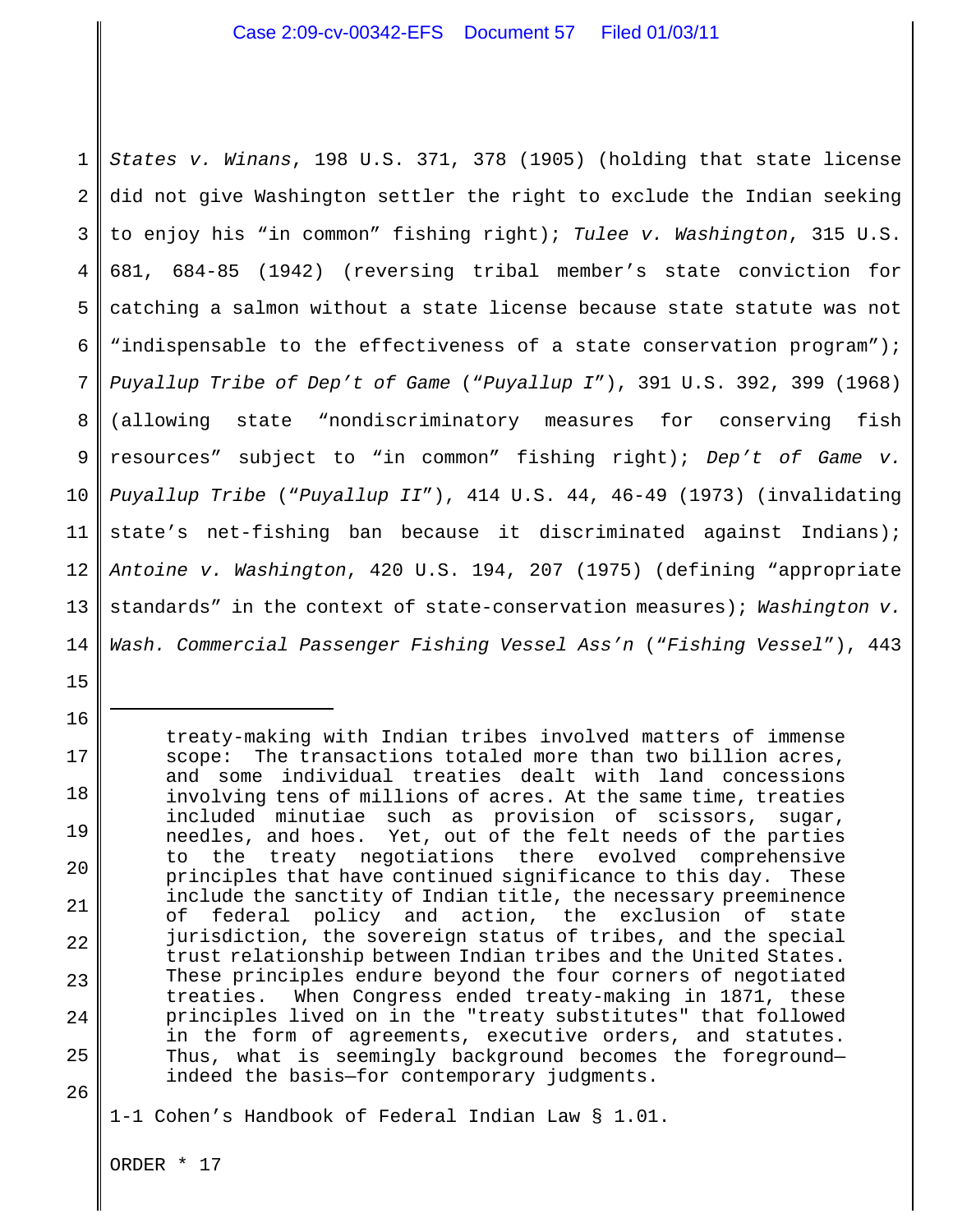1 2 3 4 5 6 7 8 9 10 11 12 13 14 *States v. Winans*, 198 U.S. 371, 378 (1905) (holding that state license did not give Washington settler the right to exclude the Indian seeking to enjoy his "in common" fishing right); *Tulee v. Washington*, 315 U.S. 681, 684-85 (1942) (reversing tribal member's state conviction for catching a salmon without a state license because state statute was not "indispensable to the effectiveness of a state conservation program"); *Puyallup Tribe of Dep't of Game* ("*Puyallup I*"), 391 U.S. 392, 399 (1968) (allowing state "nondiscriminatory measures for conserving fish resources" subject to "in common" fishing right); *Dep't of Game v. Puyallup Tribe* ("*Puyallup II*"), 414 U.S. 44, 46-49 (1973) (invalidating state's net-fishing ban because it discriminated against Indians); *Antoine v. Washington*, 420 U.S. 194, 207 (1975) (defining "appropriate standards" in the context of state-conservation measures); *Washington v. Wash. Commercial Passenger Fishing Vessel Ass'n* ("*Fishing Vessel*"), 443

treaty-making with Indian tribes involved matters of immense scope: The transactions totaled more than two billion acres, and some individual treaties dealt with land concessions involving tens of millions of acres. At the same time, treaties included minutiae such as provision of scissors, sugar, needles, and hoes. Yet, out of the felt needs of the parties to the treaty negotiations there evolved comprehensive principles that have continued significance to this day. These include the sanctity of Indian title, the necessary preeminence of federal policy and action, the exclusion of state jurisdiction, the sovereign status of tribes, and the special trust relationship between Indian tribes and the United States. These principles endure beyond the four corners of negotiated treaties. When Congress ended treaty-making in 1871, these principles lived on in the "treaty substitutes" that followed in the form of agreements, executive orders, and statutes. Thus, what is seemingly background becomes the foreground indeed the basis—for contemporary judgments.

26

15

16

17

18

19

20

21

22

23

24

25

1-1 Cohen's Handbook of Federal Indian Law § 1.01.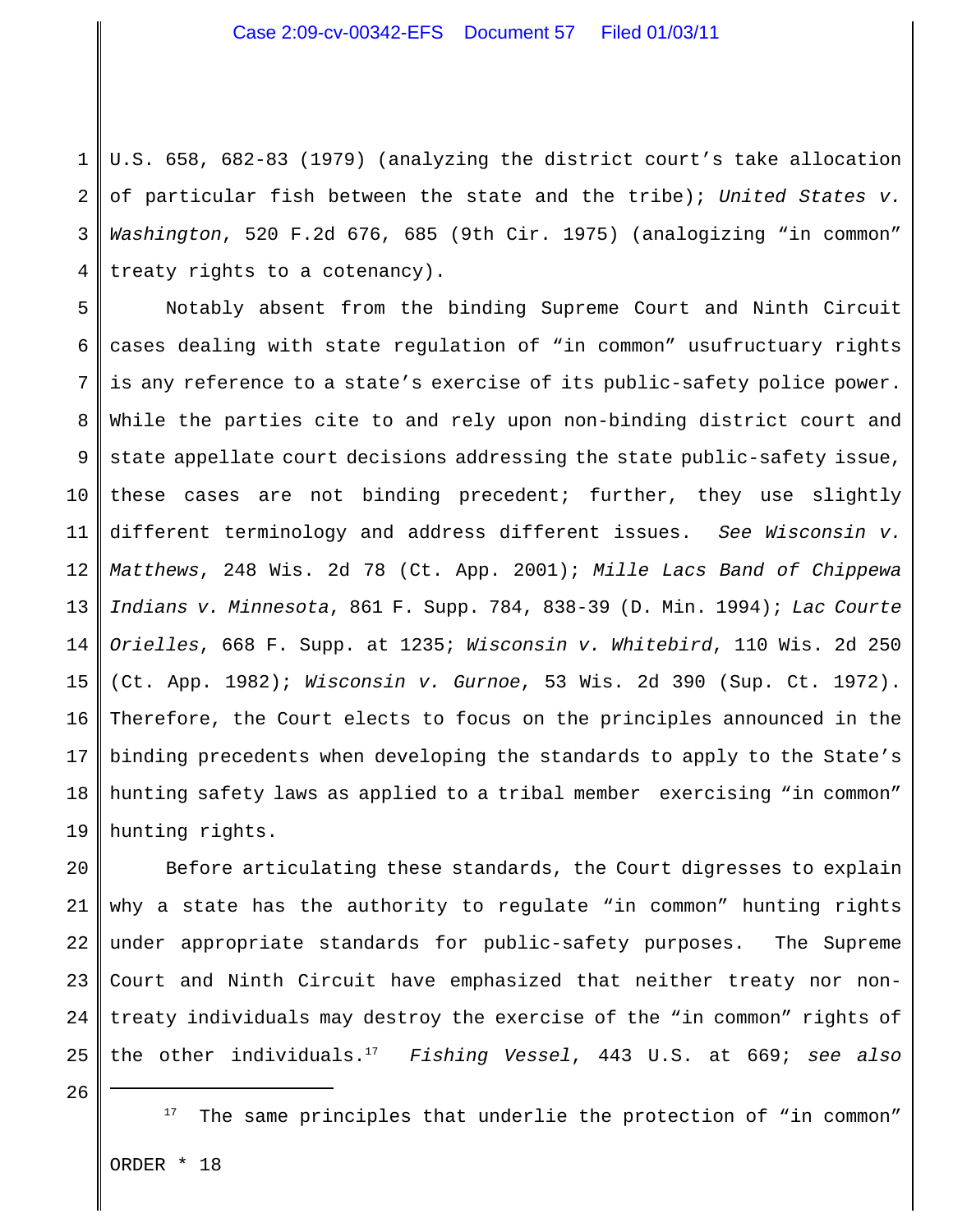1 2 3 4 U.S. 658, 682-83 (1979) (analyzing the district court's take allocation of particular fish between the state and the tribe); *United States v. Washington*, 520 F.2d 676, 685 (9th Cir. 1975) (analogizing "in common" treaty rights to a cotenancy).

5 6 7 8 9 10 11 12 13 14 15 16 17 18 19 Notably absent from the binding Supreme Court and Ninth Circuit cases dealing with state regulation of "in common" usufructuary rights is any reference to a state's exercise of its public-safety police power. While the parties cite to and rely upon non-binding district court and state appellate court decisions addressing the state public-safety issue, these cases are not binding precedent; further, they use slightly different terminology and address different issues. *See Wisconsin v. Matthews*, 248 Wis. 2d 78 (Ct. App. 2001); *Mille Lacs Band of Chippewa Indians v. Minnesota*, 861 F. Supp. 784, 838-39 (D. Min. 1994); *Lac Courte Orielles*, 668 F. Supp. at 1235; *Wisconsin v. Whitebird*, 110 Wis. 2d 250 (Ct. App. 1982); *Wisconsin v. Gurnoe*, 53 Wis. 2d 390 (Sup. Ct. 1972). Therefore, the Court elects to focus on the principles announced in the binding precedents when developing the standards to apply to the State's hunting safety laws as applied to a tribal member exercising "in common" hunting rights.

20 21 22 23 24 25 Before articulating these standards, the Court digresses to explain why a state has the authority to regulate "in common" hunting rights under appropriate standards for public-safety purposes. The Supreme Court and Ninth Circuit have emphasized that neither treaty nor nontreaty individuals may destroy the exercise of the "in common" rights of the other individuals. *Fishing Vessel*, 443 U.S. at 669; *see also* <sup>17</sup>

The same principles that underlie the protection of "in common"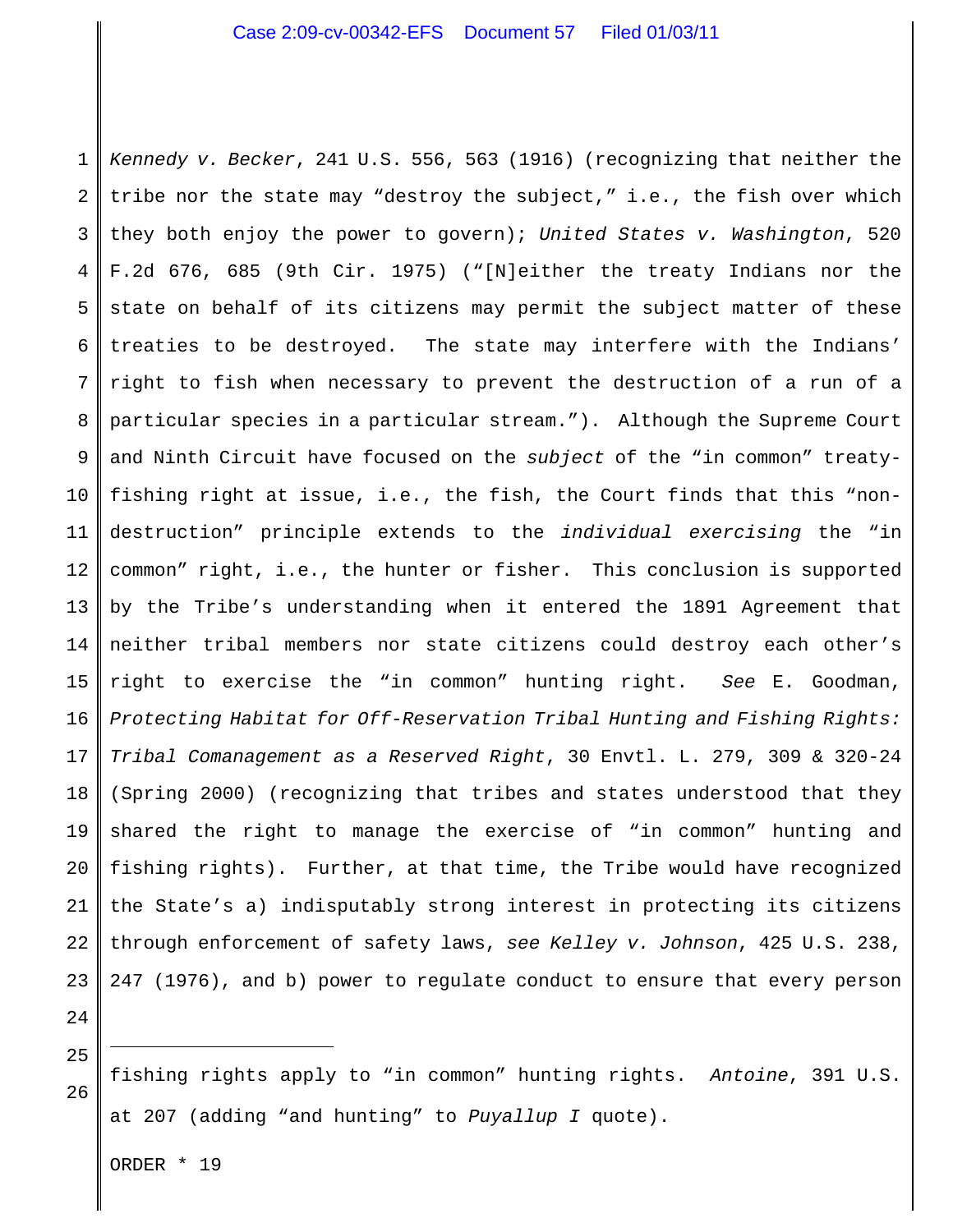1 2 3 4 5 6 7 8 9 10 11 12 13 14 15 16 17 18 19 20 21 22 23 *Kennedy v. Becker*, 241 U.S. 556, 563 (1916) (recognizing that neither the tribe nor the state may "destroy the subject," i.e., the fish over which they both enjoy the power to govern); *United States v. Washington*, 520 F.2d 676, 685 (9th Cir. 1975) ("[N]either the treaty Indians nor the state on behalf of its citizens may permit the subject matter of these treaties to be destroyed. The state may interfere with the Indians' right to fish when necessary to prevent the destruction of a run of a particular species in a particular stream."). Although the Supreme Court and Ninth Circuit have focused on the *subject* of the "in common" treatyfishing right at issue, i.e., the fish, the Court finds that this "nondestruction" principle extends to the *individual exercising* the "in common" right, i.e., the hunter or fisher. This conclusion is supported by the Tribe's understanding when it entered the 1891 Agreement that neither tribal members nor state citizens could destroy each other's right to exercise the "in common" hunting right. *See* E. Goodman, *Protecting Habitat for Off-Reservation Tribal Hunting and Fishing Rights: Tribal Comanagement as a Reserved Right*, 30 Envtl. L. 279, 309 & 320-24 (Spring 2000) (recognizing that tribes and states understood that they shared the right to manage the exercise of "in common" hunting and fishing rights). Further, at that time, the Tribe would have recognized the State's a) indisputably strong interest in protecting its citizens through enforcement of safety laws, *see Kelley v. Johnson*, 425 U.S. 238, 247 (1976), and b) power to regulate conduct to ensure that every person

24 25

26 fishing rights apply to "in common" hunting rights. *Antoine*, 391 U.S. at 207 (adding "and hunting" to *Puyallup I* quote).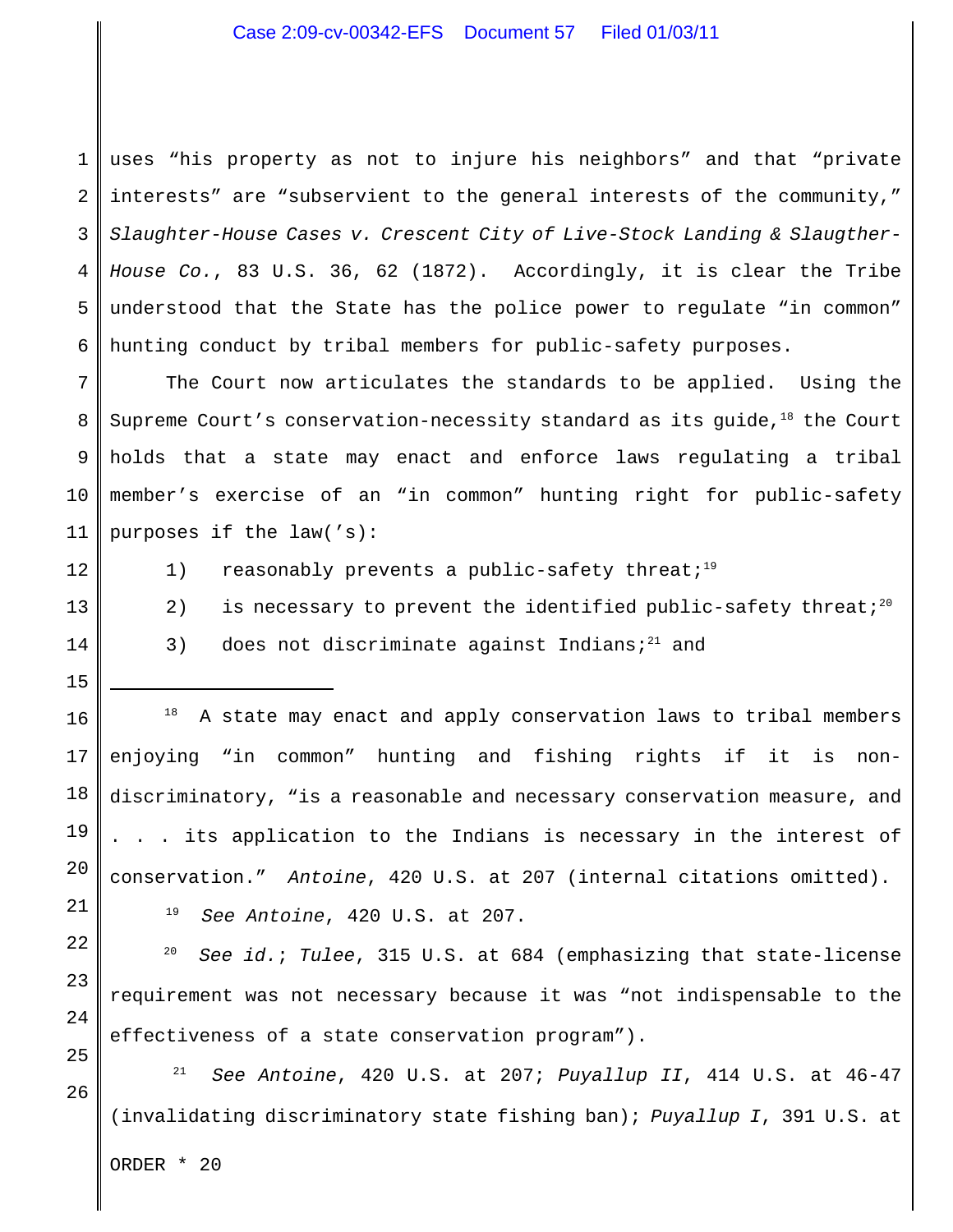## Case 2:09-cv-00342-EFS Document 57 Filed 01/03/11

1 2 3 4 5 6 uses "his property as not to injure his neighbors" and that "private interests" are "subservient to the general interests of the community," *Slaughter-House Cases v. Crescent City of Live-Stock Landing & Slaugther-House Co.*, 83 U.S. 36, 62 (1872). Accordingly, it is clear the Tribe understood that the State has the police power to regulate "in common" hunting conduct by tribal members for public-safety purposes.

7 8 9 10 11 The Court now articulates the standards to be applied. Using the Supreme Court's conservation-necessity standard as its guide,  $18$  the Court holds that a state may enact and enforce laws regulating a tribal member's exercise of an "in common" hunting right for public-safety purposes if the law('s):

12

13

14

1) reasonably prevents a public-safety threat;<sup>19</sup>

- 2) is necessary to prevent the identified public-safety threat;<sup>20</sup>
- 3) does not discriminate against Indians;<sup>21</sup> and

15 16

17

18

19

20

21

22

23

24

25

26

 $18$  A state may enact and apply conservation laws to tribal members enjoying "in common" hunting and fishing rights if it is nondiscriminatory, "is a reasonable and necessary conservation measure, and . . . its application to the Indians is necessary in the interest of conservation." *Antoine*, 420 U.S. at 207 (internal citations omitted). <sup>19</sup> See Antoine, 420 U.S. at 207.

<sup>20</sup> *See id.; Tulee,* 315 U.S. at 684 (emphasizing that state-license requirement was not necessary because it was "not indispensable to the effectiveness of a state conservation program").

<sup>21</sup> See Antoine, 420 U.S. at 207; *Puyallup II*, 414 U.S. at 46-47 (invalidating discriminatory state fishing ban); *Puyallup I*, 391 U.S. at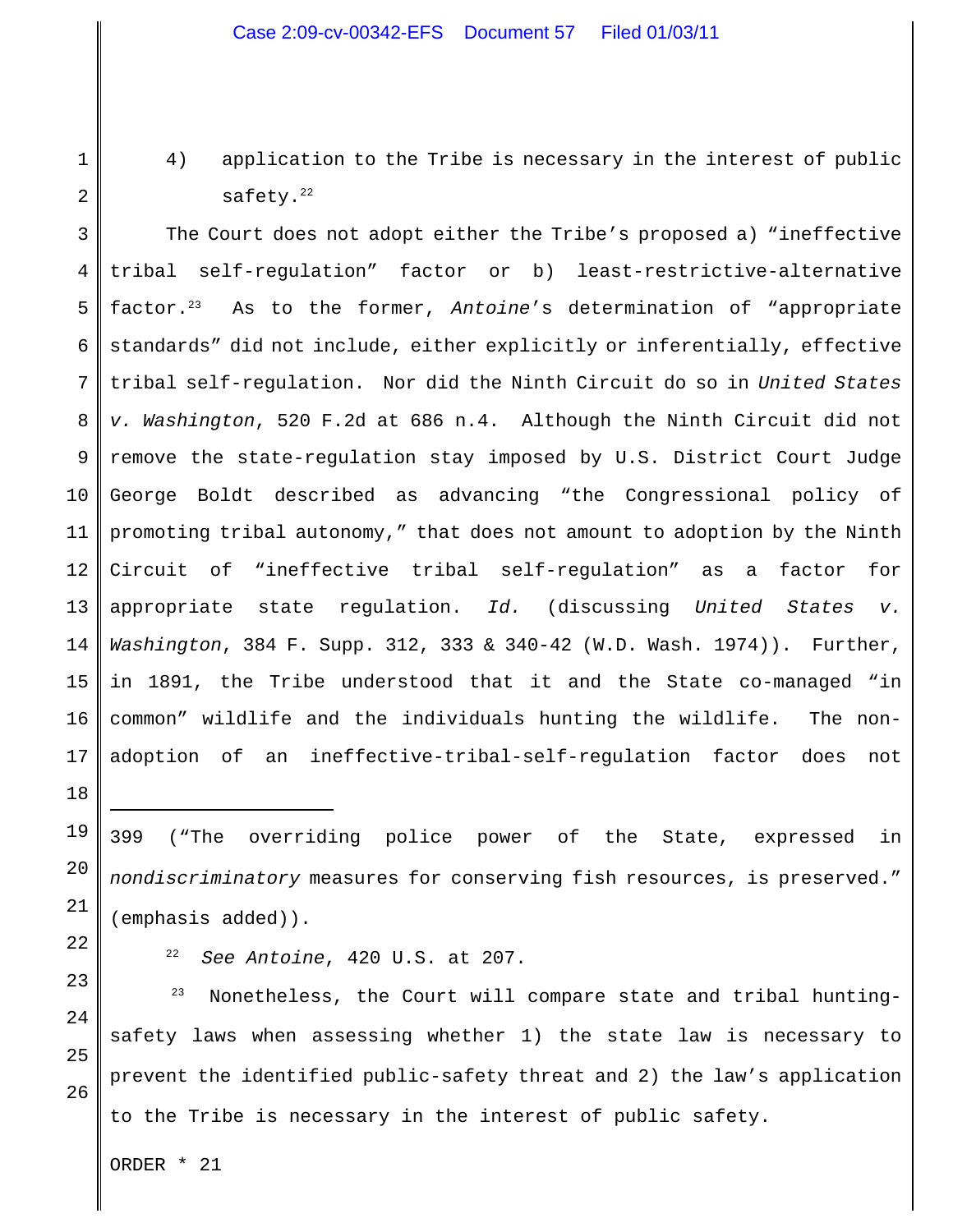4) application to the Tribe is necessary in the interest of public safety.<sup>22</sup>

1

2

3

18

19

20

21

22

23

24

25

26

4 5 6 7 8 9 10 11 12 13 14 15 16 17 The Court does not adopt either the Tribe's proposed a) "ineffective tribal self-regulation" factor or b) least-restrictive-alternative factor.<sup>23</sup> As to the former, Antoine's determination of "appropriate standards" did not include, either explicitly or inferentially, effective tribal self-regulation. Nor did the Ninth Circuit do so in *United States v. Washington*, 520 F.2d at 686 n.4. Although the Ninth Circuit did not remove the state-regulation stay imposed by U.S. District Court Judge George Boldt described as advancing "the Congressional policy of promoting tribal autonomy," that does not amount to adoption by the Ninth Circuit of "ineffective tribal self-regulation" as a factor for appropriate state regulation. *Id.* (discussing *United States v. Washington*, 384 F. Supp. 312, 333 & 340-42 (W.D. Wash. 1974)). Further, in 1891, the Tribe understood that it and the State co-managed "in common" wildlife and the individuals hunting the wildlife. The nonadoption of an ineffective-tribal-self-regulation factor does not

399 ("The overriding police power of the State, expressed in *nondiscriminatory* measures for conserving fish resources, is preserved." (emphasis added)).

<sup>22</sup> *See Antoine*, 420 U.S. at 207.

 $23$  Nonetheless, the Court will compare state and tribal huntingsafety laws when assessing whether 1) the state law is necessary to prevent the identified public-safety threat and 2) the law's application to the Tribe is necessary in the interest of public safety.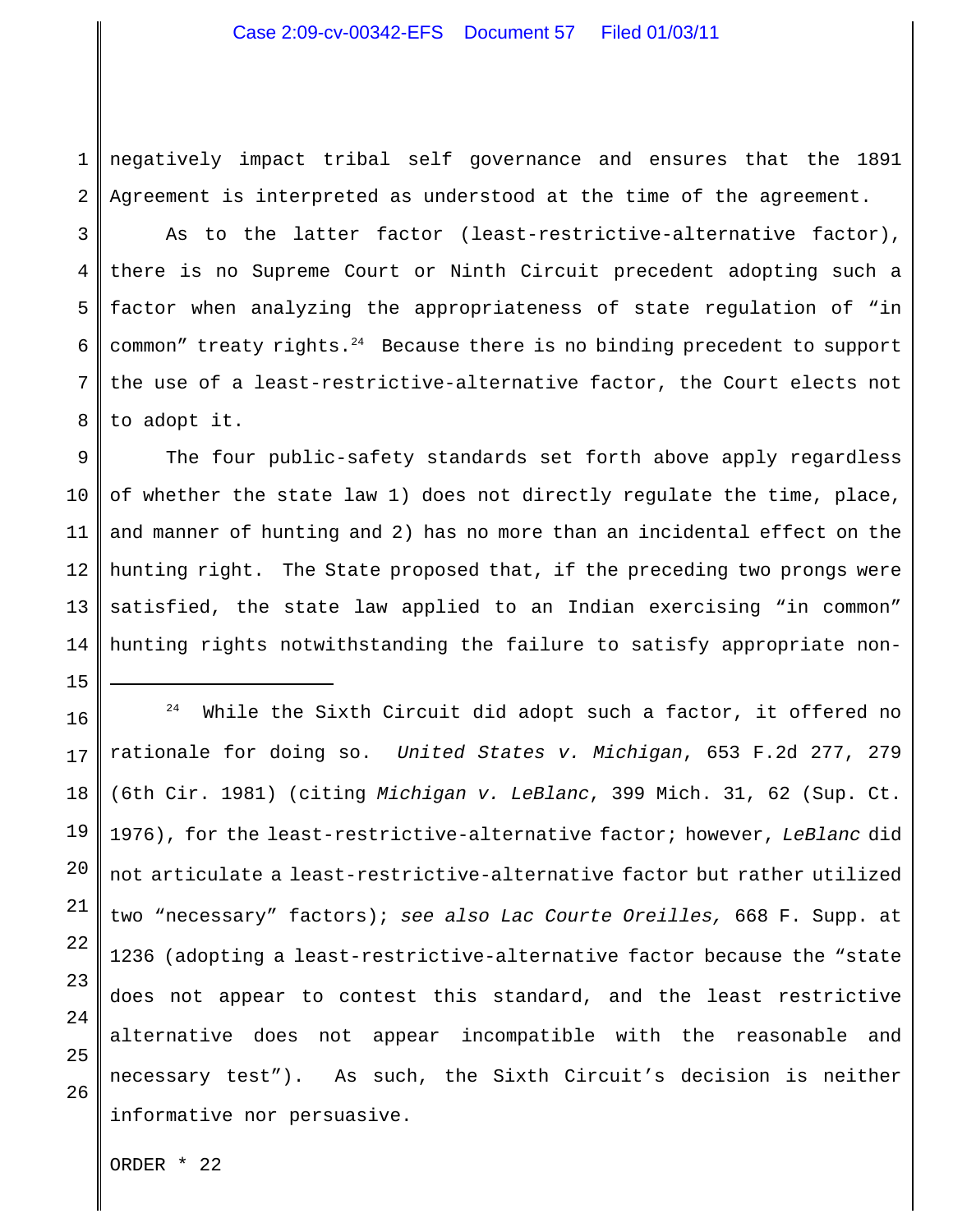### Case 2:09-cv-00342-EFS Document 57 Filed 01/03/11

1 2 negatively impact tribal self governance and ensures that the 1891 Agreement is interpreted as understood at the time of the agreement.

3 4 5 6 7 8 As to the latter factor (least-restrictive-alternative factor), there is no Supreme Court or Ninth Circuit precedent adopting such a factor when analyzing the appropriateness of state regulation of "in common" treaty rights. $24$  Because there is no binding precedent to support the use of a least-restrictive-alternative factor, the Court elects not to adopt it.

9 10 11 12 13 14 The four public-safety standards set forth above apply regardless of whether the state law 1) does not directly regulate the time, place, and manner of hunting and 2) has no more than an incidental effect on the hunting right. The State proposed that, if the preceding two prongs were satisfied, the state law applied to an Indian exercising "in common" hunting rights notwithstanding the failure to satisfy appropriate non-

16 17 18 19 20 21 22 23 24 25 26  $24$  While the Sixth Circuit did adopt such a factor, it offered no rationale for doing so. *United States v. Michigan*, 653 F.2d 277, 279 (6th Cir. 1981) (citing *Michigan v. LeBlanc*, 399 Mich. 31, 62 (Sup. Ct. 1976), for the least-restrictive-alternative factor; however, *LeBlanc* did not articulate a least-restrictive-alternative factor but rather utilized two "necessary" factors); *see also Lac Courte Oreilles,* 668 F. Supp. at 1236 (adopting a least-restrictive-alternative factor because the "state does not appear to contest this standard, and the least restrictive alternative does not appear incompatible with the reasonable and necessary test"). As such, the Sixth Circuit's decision is neither informative nor persuasive.

ORDER \* 22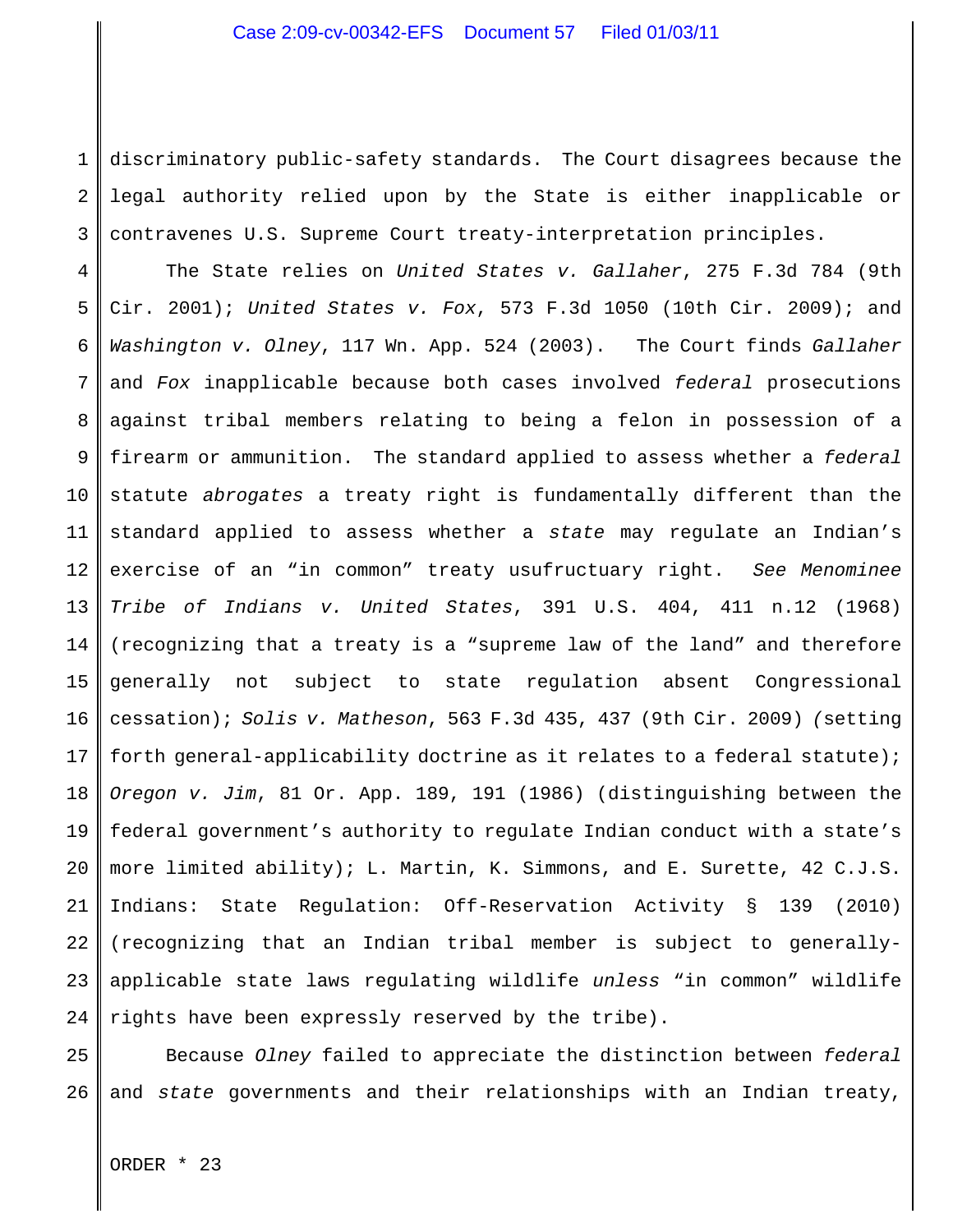1 2 3 discriminatory public-safety standards. The Court disagrees because the legal authority relied upon by the State is either inapplicable or contravenes U.S. Supreme Court treaty-interpretation principles.

4 5 6 7 8 9 10 11 12 13 14 15 16 17 18 19 20 21 22 23 24 The State relies on *United States v. Gallaher*, 275 F.3d 784 (9th Cir. 2001); *United States v. Fox*, 573 F.3d 1050 (10th Cir. 2009); and *Washington v. Olney*, 117 Wn. App. 524 (2003). The Court finds *Gallaher* and *Fox* inapplicable because both cases involved *federal* prosecutions against tribal members relating to being a felon in possession of a firearm or ammunition. The standard applied to assess whether a *federal* statute *abrogates* a treaty right is fundamentally different than the standard applied to assess whether a *state* may regulate an Indian's exercise of an "in common" treaty usufructuary right. *See Menominee Tribe of Indians v. United States*, 391 U.S. 404, 411 n.12 (1968) (recognizing that a treaty is a "supreme law of the land" and therefore generally not subject to state regulation absent Congressional cessation); *Solis v. Matheson*, 563 F.3d 435, 437 (9th Cir. 2009) *(*setting forth general-applicability doctrine as it relates to a federal statute); *Oregon v. Jim*, 81 Or. App. 189, 191 (1986) (distinguishing between the federal government's authority to regulate Indian conduct with a state's more limited ability); L. Martin, K. Simmons, and E. Surette, 42 C.J.S. Indians: State Regulation: Off-Reservation Activity § 139 (2010) (recognizing that an Indian tribal member is subject to generallyapplicable state laws regulating wildlife *unless* "in common" wildlife rights have been expressly reserved by the tribe).

25 26 Because *Olney* failed to appreciate the distinction between *federal* and *state* governments and their relationships with an Indian treaty,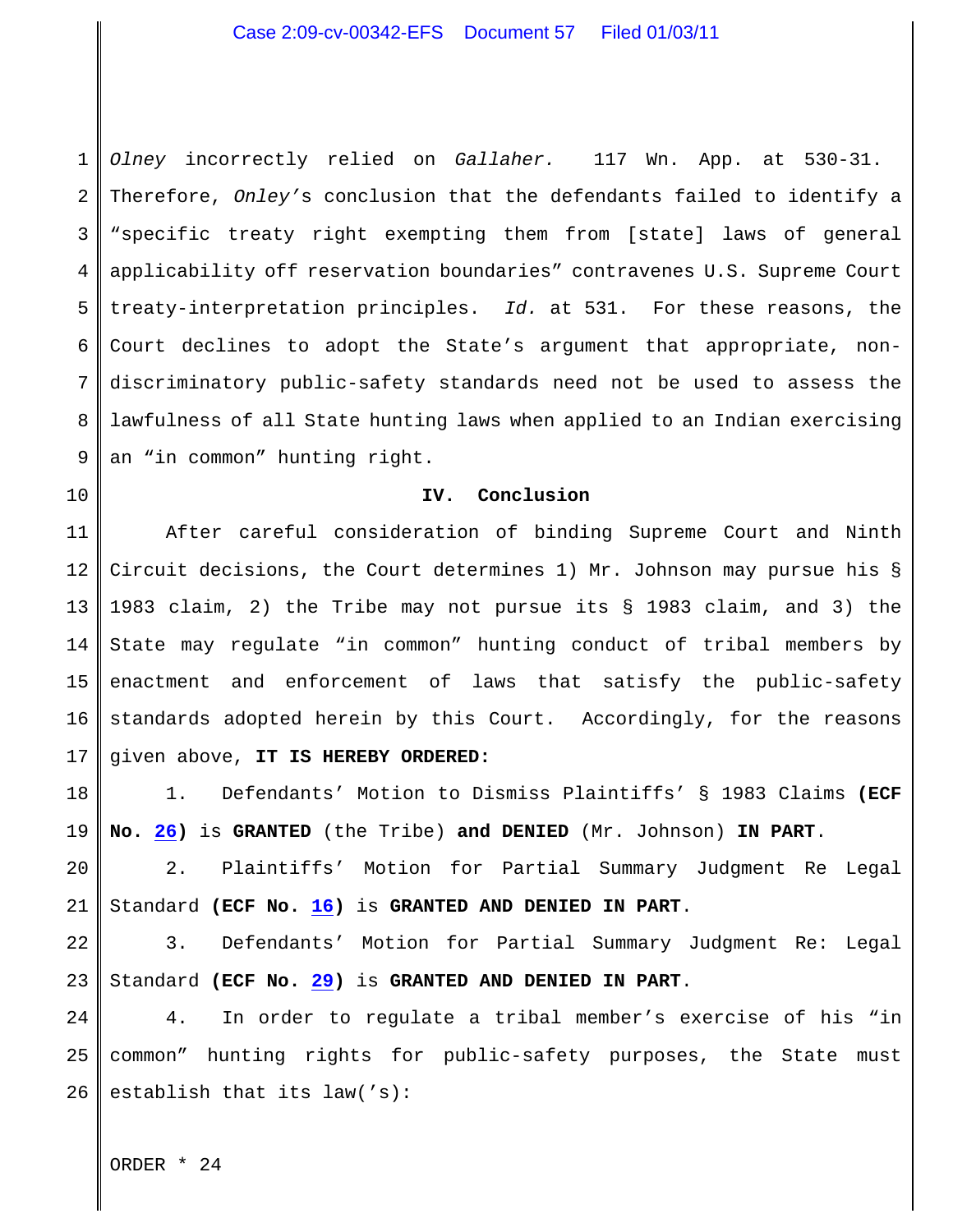1 2 3 4 5 6 7 8 9 *Olney* incorrectly relied on *Gallaher.* 117 Wn. App. at 530-31. Therefore, *Onley'*s conclusion that the defendants failed to identify a "specific treaty right exempting them from [state] laws of general applicability off reservation boundaries" contravenes U.S. Supreme Court treaty-interpretation principles. *Id.* at 531. For these reasons, the Court declines to adopt the State's argument that appropriate, nondiscriminatory public-safety standards need not be used to assess the lawfulness of all State hunting laws when applied to an Indian exercising an "in common" hunting right.

### **IV. Conclusion**

11 12 13 14 15 16 17 After careful consideration of binding Supreme Court and Ninth Circuit decisions, the Court determines 1) Mr. Johnson may pursue his § 1983 claim, 2) the Tribe may not pursue its § 1983 claim, and 3) the State may regulate "in common" hunting conduct of tribal members by enactment and enforcement of laws that satisfy the public-safety standards adopted herein by this Court. Accordingly, for the reasons given above, **IT IS HEREBY ORDERED:**

18 19 1. Defendants' Motion to Dismiss Plaintiffs' § 1983 Claims **(ECF No. [26](https://ecf.waed.uscourts.gov/doc1/19501384188))** is **GRANTED** (the Tribe) **and DENIED** (Mr. Johnson) **IN PART**.

20 21 2. Plaintiffs' Motion for Partial Summary Judgment Re Legal Standard **(ECF No. [16](https://ecf.waed.circ9.dcn/cgi-bin/show_doc.pl?caseid=48902&de_seq_num=58&dm_id=1294998&doc_num=16&pdf_header=1))** is **GRANTED AND DENIED IN PART**.

22 23 3. Defendants' Motion for Partial Summary Judgment Re: Legal Standard **(ECF No. [29](https://ecf.waed.circ9.dcn/cgi-bin/show_doc.pl?caseid=48902&de_seq_num=94&dm_id=1312418&doc_num=29&pdf_header=1))** is **GRANTED AND DENIED IN PART**.

24 25 26 4. In order to regulate a tribal member's exercise of his "in common" hunting rights for public-safety purposes, the State must establish that its law('s):

ORDER \* 24